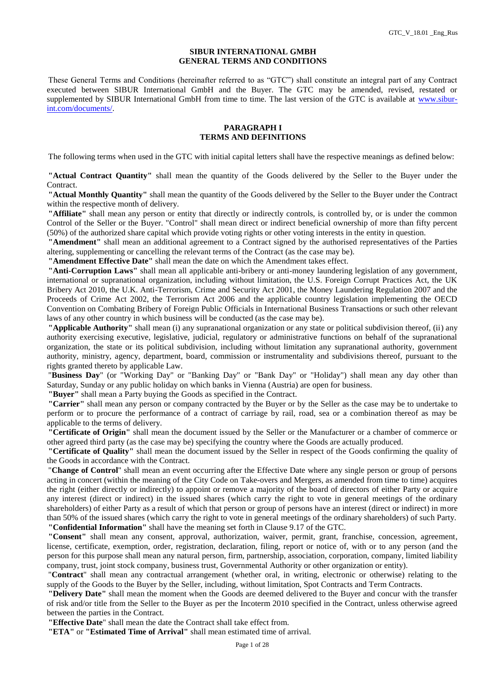### **SIBUR INTERNATIONAL GMBH GENERAL TERMS AND CONDITIONS**

These General Terms and Conditions (hereinafter referred to as "GTC") shall constitute an integral part of any Contract executed between SIBUR International GmbH and the Buyer. The GTC may be amended, revised, restated or supplemented by SIBUR International GmbH from time to time. The last version of the GTC is available at [www.sibur](http://www.sibur-int.com/documents/)[int.com/documents/.](http://www.sibur-int.com/documents/)

### **PARAGRAPH I TERMS AND DEFINITIONS**

The following terms when used in the GTC with initial capital letters shall have the respective meanings as defined below:

**"Actual Contract Quantity"** shall mean the quantity of the Goods delivered by the Seller to the Buyer under the Contract.

**"Actual Monthly Quantity"** shall mean the quantity of the Goods delivered by the Seller to the Buyer under the Contract within the respective month of delivery.

**"Affiliate"** shall mean any person or entity that directly or indirectly controls, is controlled by, or is under the common Control of the Seller or the Buyer. "Control" shall mean direct or indirect beneficial ownership of more than fifty percent (50%) of the authorized share capital which provide voting rights or other voting interests in the entity in question.

**"Amendment"** shall mean an additional agreement to a Contract signed by the authorised representatives of the Parties altering, supplementing or cancelling the relevant terms of the Contract (as the case may be).

**"Amendment Effective Date"** shall mean the date on which the Amendment takes effect.

**"Anti-Corruption Laws"** shall mean all applicable anti-bribery or anti-money laundering legislation of any government, international or supranational organization, including without limitation, the U.S. Foreign Corrupt Practices Act, the UK Bribery Act 2010, the U.K. Anti-Terrorism, Crime and Security Act 2001, the Money Laundering Regulation 2007 and the Proceeds of Crime Act 2002, the Terrorism Act 2006 and the applicable country legislation implementing the OECD Convention on Combating Bribery of Foreign Public Officials in International Business Transactions or such other relevant laws of any other country in which business will be conducted (as the case may be).

**"Applicable Authority"** shall mean (i) any supranational organization or any state or political subdivision thereof, (ii) any authority exercising executive, legislative, judicial, regulatory or administrative functions on behalf of the supranational organization, the state or its political subdivision, including without limitation any supranational authority, government authority, ministry, agency, department, board, commission or instrumentality and subdivisions thereof, pursuant to the rights granted thereto by applicable Law.

"**Business Day**" (or "Working Day" or "Banking Day" or "Bank Day" or "Holiday") shall mean any day other than Saturday, Sunday or any public holiday on which banks in Vienna (Austria) are open for business.

**"Buyer"** shall mean a Party buying the Goods as specified in the Contract.

**"Carrier"** shall mean any person or company contracted by the Buyer or by the Seller as the case may be to undertake to perform or to procure the performance of a contract of carriage by rail, road, sea or a combination thereof as may be applicable to the terms of delivery.

**"Certificate of Origin"** shall mean the document issued by the Seller or the Manufacturer or a chamber of commerce or other agreed third party (as the case may be) specifying the country where the Goods are actually produced.

**"Certificate of Quality"** shall mean the document issued by the Seller in respect of the Goods confirming the quality of the Goods in accordance with the Contract.

"**Change of Control**" shall mean an event occurring after the Effective Date where any single person or group of persons acting in concert (within the meaning of the City Code on Take-overs and Mergers, as amended from time to time) acquires the right (either directly or indirectly) to appoint or remove a majority of the board of directors of either Party or acquire any interest (direct or indirect) in the issued shares (which carry the right to vote in general meetings of the ordinary shareholders) of either Party as a result of which that person or group of persons have an interest (direct or indirect) in more than 50% of the issued shares (which carry the right to vote in general meetings of the ordinary shareholders) of such Party. **"Confidential Information"** shall have the meaning set forth in Clause 9.17 of the GTC.

**"Consent"** shall mean any consent, approval, authorization, waiver, permit, grant, franchise, concession, agreement, license, certificate, exemption, order, registration, declaration, filing, report or notice of, with or to any person (and the person for this purpose shall mean any natural person, firm, partnership, association, corporation, company, limited liability company, trust, joint stock company, business trust, Governmental Authority or other organization or entity).

"**Contract**" shall mean any contractual arrangement (whether oral, in writing, electronic or otherwise) relating to the supply of the Goods to the Buyer by the Seller, including, without limitation, Spot Contracts and Term Contracts.

**"Delivery Date"** shall mean the moment when the Goods are deemed delivered to the Buyer and concur with the transfer of risk and/or title from the Seller to the Buyer as per the Incoterm 2010 specified in the Contract, unless otherwise agreed between the parties in the Contract.

**"Effective Date**" shall mean the date the Contract shall take effect from.

**"ETA"** or **"Estimated Time of Arrival"** shall mean estimated time of arrival.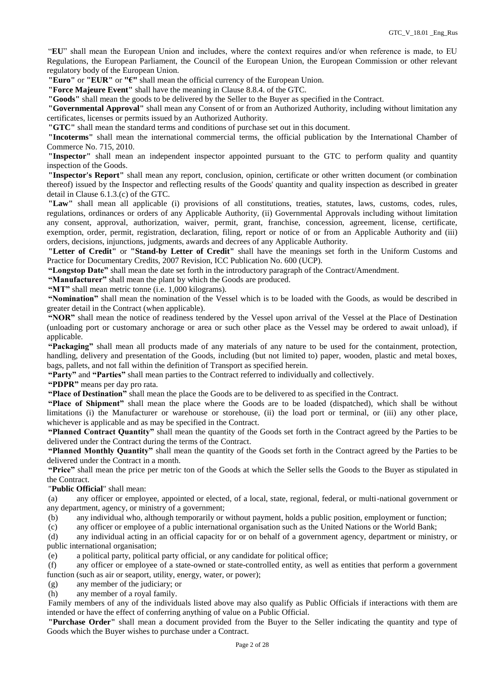"**EU**" shall mean the European Union and includes, where the context requires and/or when reference is made, to EU Regulations, the European Parliament, the Council of the European Union, the European Commission or other relevant regulatory body of the European Union.

**"Euro"** or **"EUR"** or **"€"** shall mean the official currency of the European Union.

**"Force Majeure Event"** shall have the meaning in Clause 8.8.4. of the GTC.

**"Goods"** shall mean the goods to be delivered by the Seller to the Buyer as specified in the Contract.

**"Governmental Approval"** shall mean any Consent of or from an Authorized Authority, including without limitation any certificates, licenses or permits issued by an Authorized Authority.

**"GTC"** shall mean the standard terms and conditions of purchase set out in this document.

**"Incoterms"** shall mean the international commercial terms, the official publication by the International Chamber of Commerce No. 715, 2010.

**"Inspector"** shall mean an independent inspector appointed pursuant to the GTC to perform quality and quantity inspection of the Goods.

**"Inspector's Report"** shall mean any report, conclusion, opinion, certificate or other written document (or combination thereof) issued by the Inspector and reflecting results of the Goods' quantity and quality inspection as described in greater detail in Clause 6.1.3.(c) of the GTC.

**"Law"** shall mean all applicable (i) provisions of all constitutions, treaties, statutes, laws, customs, codes, rules, regulations, ordinances or orders of any Applicable Authority, (ii) Governmental Approvals including without limitation any consent, approval, authorization, waiver, permit, grant, franchise, concession, agreement, license, certificate, exemption, order, permit, registration, declaration, filing, report or notice of or from an Applicable Authority and (iii) orders, decisions, injunctions, judgments, awards and decrees of any Applicable Authority.

**"Letter of Credit"** or **"Stand-by Letter of Credit"** shall have the meanings set forth in the Uniform Customs and Practice for Documentary Credits, 2007 Revision, ICC Publication No. 600 (UCP).

**"Longstop Date"** shall mean the date set forth in the introductory paragraph of the Contract/Amendment.

**"Manufacturer"** shall mean the plant by which the Goods are produced.

**"MT"** shall mean metric tonne (i.e. 1,000 kilograms).

**"Nomination"** shall mean the nomination of the Vessel which is to be loaded with the Goods, as would be described in greater detail in the Contract (when applicable).

**"NOR"** shall mean the notice of readiness tendered by the Vessel upon arrival of the Vessel at the Place of Destination (unloading port or customary anchorage or area or such other place as the Vessel may be ordered to await unload), if applicable.

**"Packaging"** shall mean all products made of any materials of any nature to be used for the containment, protection, handling, delivery and presentation of the Goods, including (but not limited to) paper, wooden, plastic and metal boxes, bags, pallets, and not fall within the definition of Transport as specified herein.

**"Party"** and **"Parties"** shall mean parties to the Contract referred to individually and collectively.

**"PDPR"** means per day pro rata.

**"Place of Destination"** shall mean the place the Goods are to be delivered to as specified in the Contract.

**"Place of Shipment"** shall mean the place where the Goods are to be loaded (dispatched), which shall be without limitations (i) the Manufacturer or warehouse or storehouse, (ii) the load port or terminal, or (iii) any other place, whichever is applicable and as may be specified in the Contract.

**"Planned Contract Quantity"** shall mean the quantity of the Goods set forth in the Contract agreed by the Parties to be delivered under the Contract during the terms of the Contract.

**"Planned Monthly Quantity"** shall mean the quantity of the Goods set forth in the Contract agreed by the Parties to be delivered under the Contract in a month.

**"Price"** shall mean the price per metric ton of the Goods at which the Seller sells the Goods to the Buyer as stipulated in the Contract.

"**Public Official**" shall mean:

(a) any officer or employee, appointed or elected, of a local, state, regional, federal, or multi-national government or any department, agency, or ministry of a government;

(b) any individual who, although temporarily or without payment, holds a public position, employment or function;

(c) any officer or employee of a public international organisation such as the United Nations or the World Bank;

(d) any individual acting in an official capacity for or on behalf of a government agency, department or ministry, or public international organisation;

(e) a political party, political party official, or any candidate for political office;

(f) any officer or employee of a state-owned or state-controlled entity, as well as entities that perform a government function (such as air or seaport, utility, energy, water, or power);

(g) any member of the judiciary; or

(h) any member of a royal family.

Family members of any of the individuals listed above may also qualify as Public Officials if interactions with them are intended or have the effect of conferring anything of value on a Public Official.

**"Purchase Order"** shall mean a document provided from the Buyer to the Seller indicating the quantity and type of Goods which the Buyer wishes to purchase under a Contract.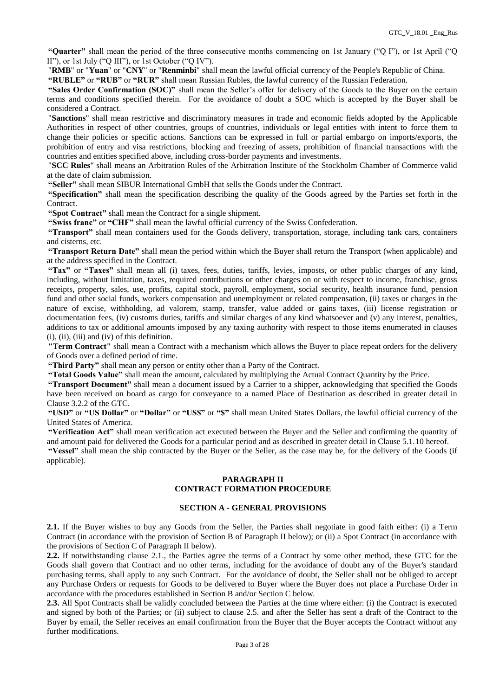**"Quarter"** shall mean the period of the three consecutive months commencing on 1st January ("Q I"), or 1st April ("Q II"), or 1st July ("Q III"), or 1st October ("Q IV").

"**RMB**" or "**Yuan**" or "**CNY**" or "**Renminbi**" shall mean the lawful official currency of the People's Republic of China.

**"RUBLE"** or **"RUB"** or **"RUR"** shall mean Russian Rubles, the lawful currency of the Russian Federation.

**"Sales Order Confirmation (SOC)"** shall mean the Seller's offer for delivery of the Goods to the Buyer on the certain terms and conditions specified therein. For the avoidance of doubt a SOC which is accepted by the Buyer shall be considered a Contract.

"**Sanctions**" shall mean restrictive and discriminatory measures in trade and economic fields adopted by the Applicable Authorities in respect of other countries, groups of countries, individuals or legal entities with intent to force them to change their policies or specific actions. Sanctions can be expressed in full or partial embargo on imports/exports, the prohibition of entry and visa restrictions, blocking and freezing of assets, prohibition of financial transactions with the countries and entities specified above, including cross-border payments and investments.

"**SCC Rules**" shall means an Arbitration Rules of the Arbitration Institute of the Stockholm Chamber of Commerce valid at the date of claim submission.

**"Seller"** shall mean SIBUR International GmbH that sells the Goods under the Contract.

**"Specification"** shall mean the specification describing the quality of the Goods agreed by the Parties set forth in the Contract.

**"Spot Contract"** shall mean the Contract for a single shipment.

**"Swiss franc"** or **"CHF"** shall mean the lawful official currency of the Swiss Confederation.

**"Transport"** shall mean containers used for the Goods delivery, transportation, storage, including tank cars, containers and cisterns, etc.

**"Transport Return Date"** shall mean the period within which the Buyer shall return the Transport (when applicable) and at the address specified in the Contract.

**"Tax"** or **"Taxes"** shall mean all (i) taxes, fees, duties, tariffs, levies, imposts, or other public charges of any kind, including, without limitation, taxes, required contributions or other charges on or with respect to income, franchise, gross receipts, property, sales, use, profits, capital stock, payroll, employment, social security, health insurance fund, pension fund and other social funds, workers compensation and unemployment or related compensation, (ii) taxes or charges in the nature of excise, withholding, ad valorem, stamp, transfer, value added or gains taxes, (iii) license registration or documentation fees, (iv) customs duties, tariffs and similar charges of any kind whatsoever and (v) any interest, penalties, additions to tax or additional amounts imposed by any taxing authority with respect to those items enumerated in clauses (i), (ii), (iii) and (iv) of this definition.

**"Term Contract"** shall mean a Contract with a mechanism which allows the Buyer to place repeat orders for the delivery of Goods over a defined period of time.

**"Third Party"** shall mean any person or entity other than a Party of the Contract.

**"Total Goods Value"** shall mean the amount, calculated by multiplying the Actual Contract Quantity by the Price.

**"Transport Document"** shall mean a document issued by a Carrier to a shipper, acknowledging that specified the Goods have been received on board as cargo for conveyance to a named Place of Destination as described in greater detail in Clause 3.2.2 of the GTC.

**"USD"** or **"US Dollar"** or **"Dollar"** or **"US\$"** or **"\$"** shall mean United States Dollars, the lawful official currency of the United States of America.

**"Verification Act"** shall mean verification act executed between the Buyer and the Seller and confirming the quantity of and amount paid for delivered the Goods for a particular period and as described in greater detail in Clause 5.1.10 hereof.

**"Vessel"** shall mean the ship contracted by the Buyer or the Seller, as the case may be, for the delivery of the Goods (if applicable).

# **PARAGRAPH II CONTRACT FORMATION PROCEDURE**

#### **SECTION A - GENERAL PROVISIONS**

**2.1.** If the Buyer wishes to buy any Goods from the Seller, the Parties shall negotiate in good faith either: (i) a Term Contract (in accordance with the provision of Section B of Paragraph II below); or (ii) a Spot Contract (in accordance with the provisions of Section C of Paragraph II below).

**2.2.** If notwithstanding clause 2.1., the Parties agree the terms of a Contract by some other method, these GTC for the Goods shall govern that Contract and no other terms, including for the avoidance of doubt any of the Buyer's standard purchasing terms, shall apply to any such Contract. For the avoidance of doubt, the Seller shall not be obliged to accept any Purchase Orders or requests for Goods to be delivered to Buyer where the Buyer does not place a Purchase Order in accordance with the procedures established in Section B and/or Section C below.

**2.3.** All Spot Contracts shall be validly concluded between the Parties at the time where either: (i) the Contract is executed and signed by both of the Parties; or (ii) subject to clause 2.5. and after the Seller has sent a draft of the Contract to the Buyer by email, the Seller receives an email confirmation from the Buyer that the Buyer accepts the Contract without any further modifications.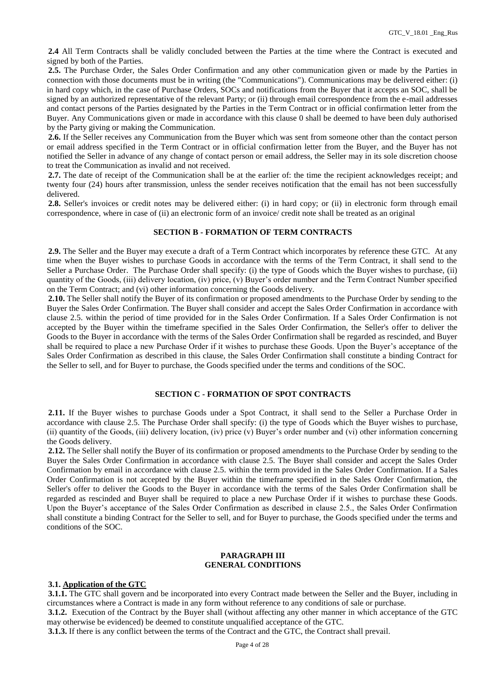**2.4** All Term Contracts shall be validly concluded between the Parties at the time where the Contract is executed and signed by both of the Parties.

<span id="page-3-0"></span>**2.5.** The Purchase Order, the Sales Order Confirmation and any other communication given or made by the Parties in connection with those documents must be in writing (the "Communications"). Communications may be delivered either: (i) in hard copy which, in the case of Purchase Orders, SOCs and notifications from the Buyer that it accepts an SOC, shall be signed by an authorized representative of the relevant Party; or (ii) through email correspondence from the e-mail addresses and contact persons of the Parties designated by the Parties in the Term Contract or in official confirmation letter from the Buyer. Any Communications given or made in accordance with this clause [0](#page-3-0) shall be deemed to have been duly authorised by the Party giving or making the Communication.

**2.6.** If the Seller receives any Communication from the Buyer which was sent from someone other than the contact person or email address specified in the Term Contract or in official confirmation letter from the Buyer, and the Buyer has not notified the Seller in advance of any change of contact person or email address, the Seller may in its sole discretion choose to treat the Communication as invalid and not received.

**2.7.** The date of receipt of the Communication shall be at the earlier of: the time the recipient acknowledges receipt; and twenty four (24) hours after transmission, unless the sender receives notification that the email has not been successfully delivered.

**2.8.** Seller's invoices or credit notes may be delivered either: (i) in hard copy; or (ii) in electronic form through email correspondence, where in case of (ii) an electronic form of an invoice/ credit note shall be treated as an original

## **SECTION B - FORMATION OF TERM CONTRACTS**

**2.9.** The Seller and the Buyer may execute a draft of a Term Contract which incorporates by reference these GTC. At any time when the Buyer wishes to purchase Goods in accordance with the terms of the Term Contract, it shall send to the Seller a Purchase Order. The Purchase Order shall specify: (i) the type of Goods which the Buyer wishes to purchase, (ii) quantity of the Goods, (iii) delivery location, (iv) price, (v) Buyer's order number and the Term Contract Number specified on the Term Contract; and (vi) other information concerning the Goods delivery.

**2.10.** The Seller shall notify the Buyer of its confirmation or proposed amendments to the Purchase Order by sending to the Buyer the Sales Order Confirmation. The Buyer shall consider and accept the Sales Order Confirmation in accordance with clause 2.5. within the period of time provided for in the Sales Order Confirmation. If a Sales Order Confirmation is not accepted by the Buyer within the timeframe specified in the Sales Order Confirmation, the Seller's offer to deliver the Goods to the Buyer in accordance with the terms of the Sales Order Confirmation shall be regarded as rescinded, and Buyer shall be required to place a new Purchase Order if it wishes to purchase these Goods. Upon the Buyer's acceptance of the Sales Order Confirmation as described in this clause, the Sales Order Confirmation shall constitute a binding Contract for the Seller to sell, and for Buyer to purchase, the Goods specified under the terms and conditions of the SOC.

### **SECTION C - FORMATION OF SPOT CONTRACTS**

**2.11.** If the Buyer wishes to purchase Goods under a Spot Contract, it shall send to the Seller a Purchase Order in accordance with clause 2.5. The Purchase Order shall specify: (i) the type of Goods which the Buyer wishes to purchase, (ii) quantity of the Goods, (iii) delivery location, (iv) price (v) Buyer's order number and (vi) other information concerning the Goods delivery.

**2.12.** The Seller shall notify the Buyer of its confirmation or proposed amendments to the Purchase Order by sending to the Buyer the Sales Order Confirmation in accordance with clause 2.5. The Buyer shall consider and accept the Sales Order Confirmation by email in accordance with clause 2.5. within the term provided in the Sales Order Confirmation. If a Sales Order Confirmation is not accepted by the Buyer within the timeframe specified in the Sales Order Confirmation, the Seller's offer to deliver the Goods to the Buyer in accordance with the terms of the Sales Order Confirmation shall be regarded as rescinded and Buyer shall be required to place a new Purchase Order if it wishes to purchase these Goods. Upon the Buyer's acceptance of the Sales Order Confirmation as described in clause 2.5., the Sales Order Confirmation shall constitute a binding Contract for the Seller to sell, and for Buyer to purchase, the Goods specified under the terms and conditions of the SOC.

## **PARAGRAPH III GENERAL CONDITIONS**

### **3.1. Application of the GTC**

**3.1.1.** The GTC shall govern and be incorporated into every Contract made between the Seller and the Buyer, including in circumstances where a Contract is made in any form without reference to any conditions of sale or purchase.

**3.1.2.** Execution of the Contract by the Buyer shall (without affecting any other manner in which acceptance of the GTC may otherwise be evidenced) be deemed to constitute unqualified acceptance of the GTC.

**3.1.3.** If there is any conflict between the terms of the Contract and the GTC, the Contract shall prevail.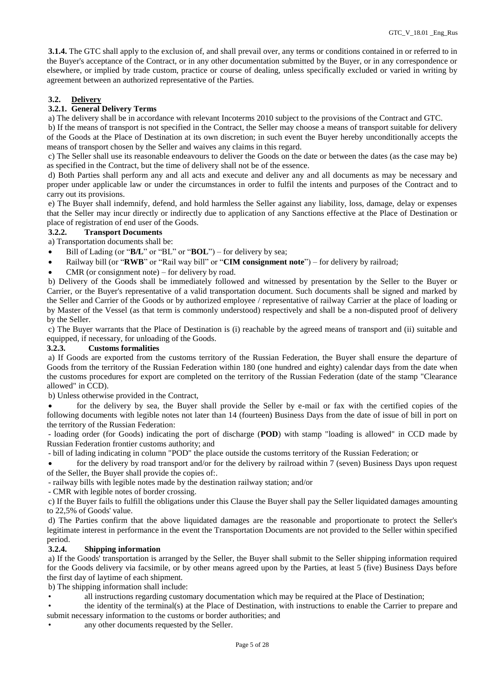**3.1.4.** The GTC shall apply to the exclusion of, and shall prevail over, any terms or conditions contained in or referred to in the Buyer's acceptance of the Contract, or in any other documentation submitted by the Buyer, or in any correspondence or elsewhere, or implied by trade custom, practice or course of dealing, unless specifically excluded or varied in writing by agreement between an authorized representative of the Parties.

# **3.2. Delivery**

## **3.2.1. General Delivery Terms**

a) The delivery shall be in accordance with relevant Incoterms 2010 subject to the provisions of the Contract and GTC.

b) If the means of transport is not specified in the Contract, the Seller may choose a means of transport suitable for delivery of the Goods at the Place of Destination at its own discretion; in such event the Buyer hereby unconditionally accepts the means of transport chosen by the Seller and waives any claims in this regard.

c) The Seller shall use its reasonable endeavours to deliver the Goods on the date or between the dates (as the case may be) as specified in the Contract, but the time of delivery shall not be of the essence.

d) Both Parties shall perform any and all acts and execute and deliver any and all documents as may be necessary and proper under applicable law or under the circumstances in order to fulfil the intents and purposes of the Contract and to carry out its provisions.

e) The Buyer shall indemnify, defend, and hold harmless the Seller against any liability, loss, damage, delay or expenses that the Seller may incur directly or indirectly due to application of any Sanctions effective at the Place of Destination or place of registration of end user of the Goods.

# **3.2.2. Transport Documents**

a) Transportation documents shall be:

- Bill of Lading (or "**B/L**" or "BL" or "**BOL**") for delivery by sea;
- Railway bill (or "**RWB**" or "Rail way bill" or "**CIM consignment note**") for delivery by railroad;
- CMR (or consignment note) for delivery by road.

b) Delivery of the Goods shall be immediately followed and witnessed by presentation by the Seller to the Buyer or Carrier, or the Buyer's representative of a valid transportation document. Such documents shall be signed and marked by the Seller and Carrier of the Goods or by authorized employee / representative of railway Carrier at the place of loading or by Master of the Vessel (as that term is commonly understood) respectively and shall be a non-disputed proof of delivery by the Seller.

c) The Buyer warrants that the Place of Destination is (i) reachable by the agreed means of transport and (ii) suitable and equipped, if necessary, for unloading of the Goods.

## **3.2.3. Customs formalities**

a) If Goods are exported from the customs territory of the Russian Federation, the Buyer shall ensure the departure of Goods from the territory of the Russian Federation within 180 (one hundred and eighty) calendar days from the date when the customs procedures for export are completed on the territory of the Russian Federation (date of the stamp "Clearance allowed" in CCD).

b) Unless otherwise provided in the Contract,

 for the delivery by sea, the Buyer shall provide the Seller by e-mail or fax with the certified copies of the following documents with legible notes not later than 14 (fourteen) Business Days from the date of issue of bill in port on the territory of the Russian Federation:

- loading order (for Goods) indicating the port of discharge (**POD**) with stamp "loading is allowed" in CCD made by Russian Federation frontier customs authority; and

- bill of lading indicating in column "POD" the place outside the customs territory of the Russian Federation; or

 for the delivery by road transport and/or for the delivery by railroad within 7 (seven) Business Days upon request of the Seller, the Buyer shall provide the copies of:.

- railway bills with legible notes made by the destination railway station; and/or

- CMR with legible notes of border crossing.

c) If the Buyer fails to fulfill the obligations under this Clause the Buyer shall pay the Seller liquidated damages amounting to 22,5% of Goods' value.

d) The Parties confirm that the above liquidated damages are the reasonable and proportionate to protect the Seller's legitimate interest in performance in the event the Transportation Documents are not provided to the Seller within specified

### period.<br> $3.2.4$ . **3.2.4. Shipping information**

a) If the Goods' transportation is arranged by the Seller, the Buyer shall submit to the Seller shipping information required for the Goods delivery via facsimile, or by other means agreed upon by the Parties, at least 5 (five) Business Days before the first day of laytime of each shipment.

b) The shipping information shall include:

• all instructions regarding customary documentation which may be required at the Place of Destination;

• the identity of the terminal(s) at the Place of Destination, with instructions to enable the Carrier to prepare and submit necessary information to the customs or border authorities; and

any other documents requested by the Seller.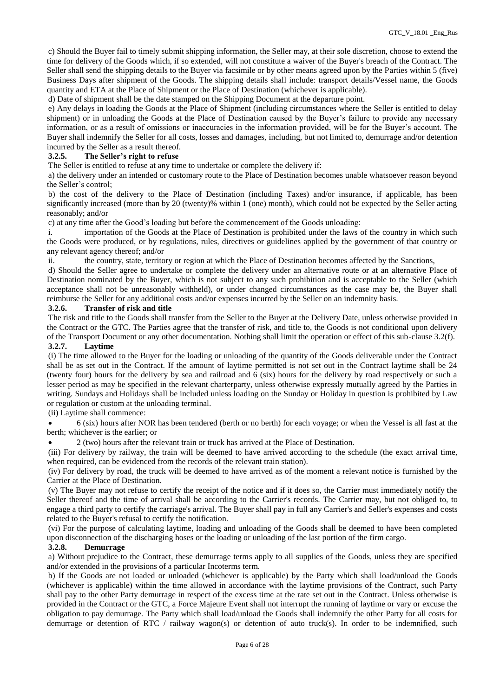c) Should the Buyer fail to timely submit shipping information, the Seller may, at their sole discretion, choose to extend the time for delivery of the Goods which, if so extended, will not constitute a waiver of the Buyer's breach of the Contract. The Seller shall send the shipping details to the Buyer via facsimile or by other means agreed upon by the Parties within 5 (five) Business Days after shipment of the Goods. The shipping details shall include: transport details/Vessel name, the Goods quantity and ETA at the Place of Shipment or the Place of Destination (whichever is applicable).

d) Date of shipment shall be the date stamped on the Shipping Document at the departure point.

e) Any delays in loading the Goods at the Place of Shipment (including circumstances where the Seller is entitled to delay shipment) or in unloading the Goods at the Place of Destination caused by the Buyer's failure to provide any necessary information, or as a result of omissions or inaccuracies in the information provided, will be for the Buyer's account. The Buyer shall indemnify the Seller for all costs, losses and damages, including, but not limited to, demurrage and/or detention incurred by the Seller as a result thereof.

# **3.2.5. The Seller's right to refuse**

The Seller is entitled to refuse at any time to undertake or complete the delivery if:

a) the delivery under an intended or customary route to the Place of Destination becomes unable whatsoever reason beyond the Seller's control;

b) the cost of the delivery to the Place of Destination (including Taxes) and/or insurance, if applicable, has been significantly increased (more than by 20 (twenty)% within 1 (one) month), which could not be expected by the Seller acting reasonably; and/or

c) at any time after the Good's loading but before the commencement of the Goods unloading:

i. importation of the Goods at the Place of Destination is prohibited under the laws of the country in which such the Goods were produced, or by regulations, rules, directives or guidelines applied by the government of that country or any relevant agency thereof; and/or

ii. the country, state, territory or region at which the Place of Destination becomes affected by the Sanctions,

d) Should the Seller agree to undertake or complete the delivery under an alternative route or at an alternative Place of Destination nominated by the Buyer, which is not subject to any such prohibition and is acceptable to the Seller (which acceptance shall not be unreasonably withheld), or under changed circumstances as the case may be, the Buyer shall reimburse the Seller for any additional costs and/or expenses incurred by the Seller on an indemnity basis.

## **3.2.6. Transfer of risk and title**

The risk and title to the Goods shall transfer from the Seller to the Buyer at the Delivery Date, unless otherwise provided in the Contract or the GTC. The Parties agree that the transfer of risk, and title to, the Goods is not conditional upon delivery of the Transport Document or any other documentation. Nothing shall limit the operation or effect of this sub-clause 3.2(f). **3.2.7. Laytime**

(i) The time allowed to the Buyer for the loading or unloading of the quantity of the Goods deliverable under the Contract shall be as set out in the Contract. If the amount of laytime permitted is not set out in the Contract laytime shall be 24 (twenty four) hours for the delivery by sea and railroad and 6 (six) hours for the delivery by road respectively or such a lesser period as may be specified in the relevant charterparty, unless otherwise expressly mutually agreed by the Parties in writing. Sundays and Holidays shall be included unless loading on the Sunday or Holiday in question is prohibited by Law or regulation or custom at the unloading terminal.

(ii) Laytime shall commence:

 6 (six) hours after NOR has been tendered (berth or no berth) for each voyage; or when the Vessel is all fast at the berth; whichever is the earlier; or

2 (two) hours after the relevant train or truck has arrived at the Place of Destination.

(iii) For delivery by railway, the train will be deemed to have arrived according to the schedule (the exact arrival time, when required, can be evidenced from the records of the relevant train station).

(iv) For delivery by road, the truck will be deemed to have arrived as of the moment a relevant notice is furnished by the Carrier at the Place of Destination.

(v) The Buyer may not refuse to certify the receipt of the notice and if it does so, the Carrier must immediately notify the Seller thereof and the time of arrival shall be according to the Carrier's records. The Carrier may, but not obliged to, to engage a third party to certify the carriage's arrival. The Buyer shall pay in full any Carrier's and Seller's expenses and costs related to the Buyer's refusal to certify the notification.

(vi) For the purpose of calculating laytime, loading and unloading of the Goods shall be deemed to have been completed upon disconnection of the discharging hoses or the loading or unloading of the last portion of the firm cargo.

### **3.2.8. Demurrage**

a) Without prejudice to the Contract, these demurrage terms apply to all supplies of the Goods, unless they are specified and/or extended in the provisions of a particular Incoterms term.

b) If the Goods are not loaded or unloaded (whichever is applicable) by the Party which shall load/unload the Goods (whichever is applicable) within the time allowed in accordance with the laytime provisions of the Contract, such Party shall pay to the other Party demurrage in respect of the excess time at the rate set out in the Contract. Unless otherwise is provided in the Contract or the GTC, a Force Majeure Event shall not interrupt the running of laytime or vary or excuse the obligation to pay demurrage. The Party which shall load/unload the Goods shall indemnify the other Party for all costs for demurrage or detention of RTC / railway wagon(s) or detention of auto truck(s). In order to be indemnified, such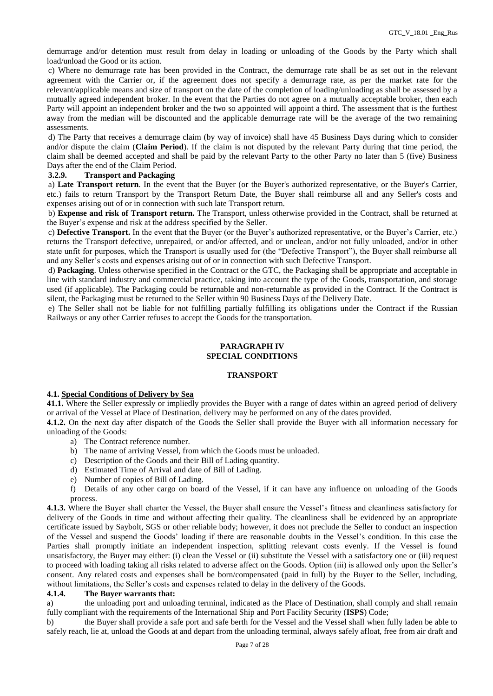demurrage and/or detention must result from delay in loading or unloading of the Goods by the Party which shall load/unload the Good or its action.

c) Where no demurrage rate has been provided in the Contract, the demurrage rate shall be as set out in the relevant agreement with the Carrier or, if the agreement does not specify a demurrage rate, as per the market rate for the relevant/applicable means and size of transport on the date of the completion of loading/unloading as shall be assessed by a mutually agreed independent broker. In the event that the Parties do not agree on a mutually acceptable broker, then each Party will appoint an independent broker and the two so appointed will appoint a third. The assessment that is the furthest away from the median will be discounted and the applicable demurrage rate will be the average of the two remaining assessments.

d) The Party that receives a demurrage claim (by way of invoice) shall have 45 Business Days during which to consider and/or dispute the claim (**Claim Period**). If the claim is not disputed by the relevant Party during that time period, the claim shall be deemed accepted and shall be paid by the relevant Party to the other Party no later than 5 (five) Business Days after the end of the Claim Period.

# **3.2.9. Transport and Packaging**

a) **Late Transport return**. In the event that the Buyer (or the Buyer's authorized representative, or the Buyer's Carrier, etc.) fails to return Transport by the Transport Return Date, the Buyer shall reimburse all and any Seller's costs and expenses arising out of or in connection with such late Transport return.

b) **Expense and risk of Transport return.** The Transport, unless otherwise provided in the Contract, shall be returned at the Buyer's expense and risk at the address specified by the Seller.

c) **Defective Transport.** In the event that the Buyer (or the Buyer's authorized representative, or the Buyer's Carrier, etc.) returns the Transport defective, unrepaired, or and/or affected, and or unclean, and/or not fully unloaded, and/or in other state unfit for purposes, which the Transport is usually used for (the "Defective Transport"), the Buyer shall reimburse all and any Seller's costs and expenses arising out of or in connection with such Defective Transport.

d) **Packaging**. Unless otherwise specified in the Contract or the GTC, the Packaging shall be appropriate and acceptable in line with standard industry and commercial practice, taking into account the type of the Goods, transportation, and storage used (if applicable). The Packaging could be returnable and non-returnable as provided in the Contract. If the Contract is silent, the Packaging must be returned to the Seller within 90 Business Days of the Delivery Date.

e) The Seller shall not be liable for not fulfilling partially fulfilling its obligations under the Contract if the Russian Railways or any other Carrier refuses to accept the Goods for the transportation.

## **PARAGRAPH IV SPECIAL CONDITIONS**

### **TRANSPORT**

### **4.1. Special Conditions of Delivery by Sea**

**41.1.** Where the Seller expressly or impliedly provides the Buyer with a range of dates within an agreed period of delivery or arrival of the Vessel at Place of Destination, delivery may be performed on any of the dates provided.

**4.1.2.** On the next day after dispatch of the Goods the Seller shall provide the Buyer with all information necessary for unloading of the Goods:

- a) The Contract reference number.
- b) The name of arriving Vessel, from which the Goods must be unloaded.
- c) Description of the Goods and their Bill of Lading quantity.
- d) Estimated Time of Arrival and date of Bill of Lading.
- e) Number of copies of Bill of Lading.
- f) Details of any other cargo on board of the Vessel, if it can have any influence on unloading of the Goods process.

**4.1.3.** Where the Buyer shall charter the Vessel, the Buyer shall ensure the Vessel's fitness and cleanliness satisfactory for delivery of the Goods in time and without affecting their quality. The cleanliness shall be evidenced by an appropriate certificate issued by Saybolt, SGS or other reliable body; however, it does not preclude the Seller to conduct an inspection of the Vessel and suspend the Goods' loading if there are reasonable doubts in the Vessel's condition. In this case the Parties shall promptly initiate an independent inspection, splitting relevant costs evenly. If the Vessel is found unsatisfactory, the Buyer may either: (i) clean the Vessel or (ii) substitute the Vessel with a satisfactory one or (iii) request to proceed with loading taking all risks related to adverse affect on the Goods. Option (iii) is allowed only upon the Seller's consent. Any related costs and expenses shall be born/compensated (paid in full) by the Buyer to the Seller, including, without limitations, the Seller's costs and expenses related to delay in the delivery of the Goods.

### **4.1.4. The Buyer warrants that:**

a) the unloading port and unloading terminal, indicated as the Place of Destination, shall comply and shall remain fully compliant with the requirements of the International Ship and Port Facility Security (**ISPS**) Code;

b) the Buyer shall provide a safe port and safe berth for the Vessel and the Vessel shall when fully laden be able to safely reach, lie at, unload the Goods at and depart from the unloading terminal, always safely afloat, free from air draft and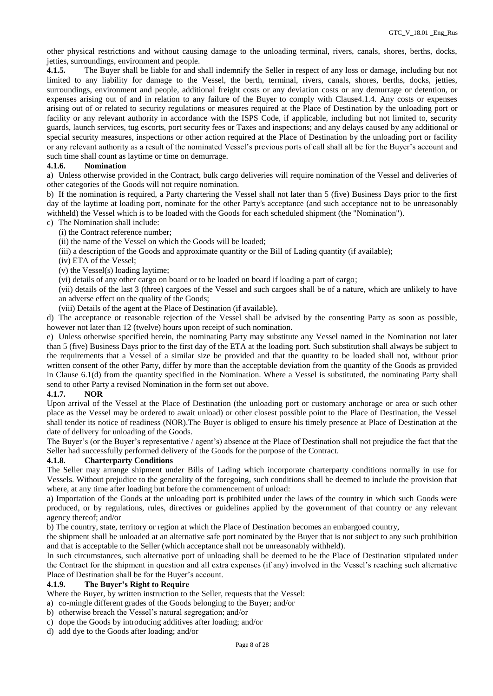other physical restrictions and without causing damage to the unloading terminal, rivers, canals, shores, berths, docks, jetties, surroundings, environment and people.

**4.1.5.** The Buyer shall be liable for and shall indemnify the Seller in respect of any loss or damage, including but not limited to any liability for damage to the Vessel, the berth, terminal, rivers, canals, shores, berths, docks, jetties, surroundings, environment and people, additional freight costs or any deviation costs or any demurrage or detention, or expenses arising out of and in relation to any failure of the Buyer to comply with Clause4.1.4. Any costs or expenses arising out of or related to security regulations or measures required at the Place of Destination by the unloading port or facility or any relevant authority in accordance with the ISPS Code, if applicable, including but not limited to, security guards, launch services, tug escorts, port security fees or Taxes and inspections; and any delays caused by any additional or special security measures, inspections or other action required at the Place of Destination by the unloading port or facility or any relevant authority as a result of the nominated Vessel's previous ports of call shall all be for the Buyer's account and such time shall count as laytime or time on demurrage.

# **4.1.6. Nomination**

a) Unless otherwise provided in the Contract, bulk cargo deliveries will require nomination of the Vessel and deliveries of other categories of the Goods will not require nomination.

b) If the nomination is required, a Party chartering the Vessel shall not later than 5 (five) Business Days prior to the first day of the laytime at loading port, nominate for the other Party's acceptance (and such acceptance not to be unreasonably withheld) the Vessel which is to be loaded with the Goods for each scheduled shipment (the "Nomination").

## c) The Nomination shall include:

- (i) the Contract reference number;
- (ii) the name of the Vessel on which the Goods will be loaded;
- (iii) a description of the Goods and approximate quantity or the Bill of Lading quantity (if available);
- (iv) ETA of the Vessel;
- (v) the Vessel(s) loading laytime;
- (vi) details of any other cargo on board or to be loaded on board if loading a part of cargo;

(vii) details of the last 3 (three) cargoes of the Vessel and such cargoes shall be of a nature, which are unlikely to have an adverse effect on the quality of the Goods;

(viii) Details of the agent at the Place of Destination (if available).

d) The acceptance or reasonable rejection of the Vessel shall be advised by the consenting Party as soon as possible, however not later than 12 (twelve) hours upon receipt of such nomination.

e) Unless otherwise specified herein, the nominating Party may substitute any Vessel named in the Nomination not later than 5 (five) Business Days prior to the first day of the ETA at the loading port. Such substitution shall always be subject to the requirements that a Vessel of a similar size be provided and that the quantity to be loaded shall not, without prior written consent of the other Party, differ by more than the acceptable deviation from the quantity of the Goods as provided in Clause 6.1(d) from the quantity specified in the Nomination. Where a Vessel is substituted, the nominating Party shall send to other Party a revised Nomination in the form set out above.

### **4.1.7. NOR**

Upon arrival of the Vessel at the Place of Destination (the unloading port or customary anchorage or area or such other place as the Vessel may be ordered to await unload) or other closest possible point to the Place of Destination, the Vessel shall tender its notice of readiness (NOR).The Buyer is obliged to ensure his timely presence at Place of Destination at the date of delivery for unloading of the Goods.

The Buyer's (or the Buyer's representative / agent's) absence at the Place of Destination shall not prejudice the fact that the Seller had successfully performed delivery of the Goods for the purpose of the Contract.

### **4.1.8. Charterparty Conditions**

The Seller may arrange shipment under Bills of Lading which incorporate charterparty conditions normally in use for Vessels. Without prejudice to the generality of the foregoing, such conditions shall be deemed to include the provision that where, at any time after loading but before the commencement of unload:

a) Importation of the Goods at the unloading port is prohibited under the laws of the country in which such Goods were produced, or by regulations, rules, directives or guidelines applied by the government of that country or any relevant agency thereof; and/or

b) The country, state, territory or region at which the Place of Destination becomes an embargoed country,

the shipment shall be unloaded at an alternative safe port nominated by the Buyer that is not subject to any such prohibition and that is acceptable to the Seller (which acceptance shall not be unreasonably withheld).

In such circumstances, such alternative port of unloading shall be deemed to be the Place of Destination stipulated under the Contract for the shipment in question and all extra expenses (if any) involved in the Vessel's reaching such alternative Place of Destination shall be for the Buyer's account.

### **4.1.9. The Buyer's Right to Require**

Where the Buyer, by written instruction to the Seller, requests that the Vessel:

- a) co-mingle different grades of the Goods belonging to the Buyer; and/or
- b) otherwise breach the Vessel's natural segregation; and/or
- c) dope the Goods by introducing additives after loading; and/or
- d) add dye to the Goods after loading; and/or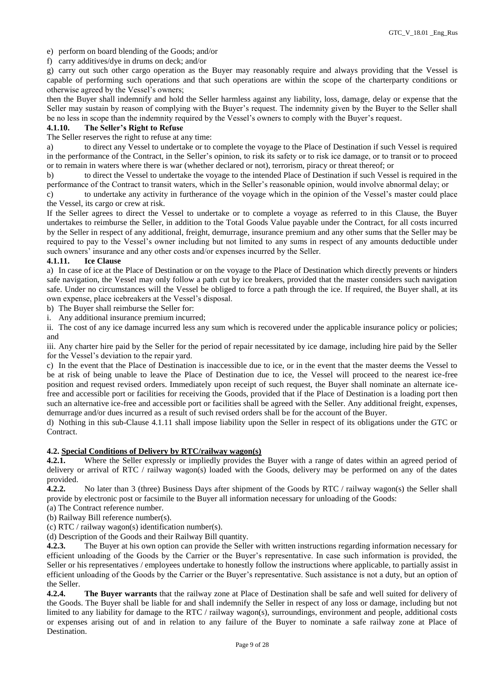e) perform on board blending of the Goods; and/or

f) carry additives/dye in drums on deck; and/or

g) carry out such other cargo operation as the Buyer may reasonably require and always providing that the Vessel is capable of performing such operations and that such operations are within the scope of the charterparty conditions or otherwise agreed by the Vessel's owners;

then the Buyer shall indemnify and hold the Seller harmless against any liability, loss, damage, delay or expense that the Seller may sustain by reason of complying with the Buyer's request. The indemnity given by the Buyer to the Seller shall be no less in scope than the indemnity required by the Vessel's owners to comply with the Buyer's request.

## **4.1.10. The Seller's Right to Refuse**

The Seller reserves the right to refuse at any time:

a) to direct any Vessel to undertake or to complete the voyage to the Place of Destination if such Vessel is required in the performance of the Contract, in the Seller's opinion, to risk its safety or to risk ice damage, or to transit or to proceed or to remain in waters where there is war (whether declared or not), terrorism, piracy or threat thereof; or

b) to direct the Vessel to undertake the voyage to the intended Place of Destination if such Vessel is required in the performance of the Contract to transit waters, which in the Seller's reasonable opinion, would involve abnormal delay; or

c) to undertake any activity in furtherance of the voyage which in the opinion of the Vessel's master could place the Vessel, its cargo or crew at risk.

If the Seller agrees to direct the Vessel to undertake or to complete a voyage as referred to in this Clause, the Buyer undertakes to reimburse the Seller, in addition to the Total Goods Value payable under the Contract, for all costs incurred by the Seller in respect of any additional, freight, demurrage, insurance premium and any other sums that the Seller may be required to pay to the Vessel's owner including but not limited to any sums in respect of any amounts deductible under such owners' insurance and any other costs and/or expenses incurred by the Seller.

### **4.1.11. Ice Clause**

a) In case of ice at the Place of Destination or on the voyage to the Place of Destination which directly prevents or hinders safe navigation, the Vessel may only follow a path cut by ice breakers, provided that the master considers such navigation safe. Under no circumstances will the Vessel be obliged to force a path through the ice. If required, the Buyer shall, at its own expense, place icebreakers at the Vessel's disposal.

b) The Buyer shall reimburse the Seller for:

i. Any additional insurance premium incurred;

ii. The cost of any ice damage incurred less any sum which is recovered under the applicable insurance policy or policies; and

iii. Any charter hire paid by the Seller for the period of repair necessitated by ice damage, including hire paid by the Seller for the Vessel's deviation to the repair yard.

c) In the event that the Place of Destination is inaccessible due to ice, or in the event that the master deems the Vessel to be at risk of being unable to leave the Place of Destination due to ice, the Vessel will proceed to the nearest ice-free position and request revised orders. Immediately upon receipt of such request, the Buyer shall nominate an alternate icefree and accessible port or facilities for receiving the Goods, provided that if the Place of Destination is a loading port then such an alternative ice-free and accessible port or facilities shall be agreed with the Seller. Any additional freight, expenses, demurrage and/or dues incurred as a result of such revised orders shall be for the account of the Buyer.

d) Nothing in this sub-Clause 4.1.11 shall impose liability upon the Seller in respect of its obligations under the GTC or Contract.

# **4.2. Special Conditions of Delivery by RTC/railway wagon(s)**

**4.2.1.** Where the Seller expressly or impliedly provides the Buyer with a range of dates within an agreed period of delivery or arrival of RTC / railway wagon(s) loaded with the Goods, delivery may be performed on any of the dates provided.

**4.2.2.** No later than 3 (three) Business Days after shipment of the Goods by RTC / railway wagon(s) the Seller shall provide by electronic post or facsimile to the Buyer all information necessary for unloading of the Goods:

(a) The Contract reference number.

(b) Railway Bill reference number(s).

(c) RTC / railway wagon(s) identification number(s).

(d) Description of the Goods and their Railway Bill quantity.

**4.2.3.** The Buyer at his own option can provide the Seller with written instructions regarding information necessary for efficient unloading of the Goods by the Carrier or the Buyer's representative. In case such information is provided, the Seller or his representatives / employees undertake to honestly follow the instructions where applicable, to partially assist in efficient unloading of the Goods by the Carrier or the Buyer's representative. Such assistance is not a duty, but an option of the Seller.

**4.2.4. The Buyer warrants** that the railway zone at Place of Destination shall be safe and well suited for delivery of the Goods. The Buyer shall be liable for and shall indemnify the Seller in respect of any loss or damage, including but not limited to any liability for damage to the RTC / railway wagon(s), surroundings, environment and people, additional costs or expenses arising out of and in relation to any failure of the Buyer to nominate a safe railway zone at Place of Destination.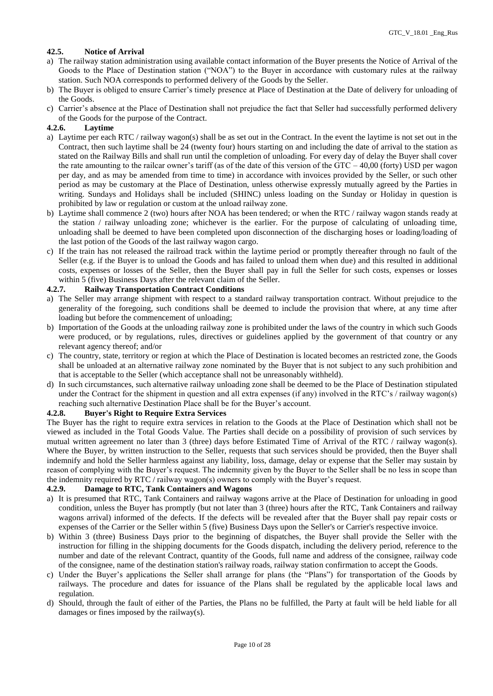# **42.5. Notice of Arrival**

- a) The railway station administration using available contact information of the Buyer presents the Notice of Arrival of the Goods to the Place of Destination station ("NOA") to the Buyer in accordance with customary rules at the railway station. Such NOA corresponds to performed delivery of the Goods by the Seller.
- b) The Buyer is obliged to ensure Carrier's timely presence at Place of Destination at the Date of delivery for unloading of the Goods.
- c) Carrier's absence at the Place of Destination shall not prejudice the fact that Seller had successfully performed delivery of the Goods for the purpose of the Contract.

## **4.2.6. Laytime**

- a) Laytime per each RTC / railway wagon(s) shall be as set out in the Contract. In the event the laytime is not set out in the Contract, then such laytime shall be 24 (twenty four) hours starting on and including the date of arrival to the station as stated on the Railway Bills and shall run until the completion of unloading. For every day of delay the Buyer shall cover the rate amounting to the railcar owner's tariff (as of the date of this version of the GTC – 40,00 (forty) USD per wagon per day, and as may be amended from time to time) in accordance with invoices provided by the Seller, or such other period as may be customary at the Place of Destination, unless otherwise expressly mutually agreed by the Parties in writing. Sundays and Holidays shall be included (SHINC) unless loading on the Sunday or Holiday in question is prohibited by law or regulation or custom at the unload railway zone.
- b) Laytime shall commence 2 (two) hours after NOA has been tendered; or when the RTC / railway wagon stands ready at the station / railway unloading zone; whichever is the earlier. For the purpose of calculating of unloading time, unloading shall be deemed to have been completed upon disconnection of the discharging hoses or loading/loading of the last potion of the Goods of the last railway wagon cargo.
- c) If the train has not released the railroad track within the laytime period or promptly thereafter through no fault of the Seller (e.g. if the Buyer is to unload the Goods and has failed to unload them when due) and this resulted in additional costs, expenses or losses of the Seller, then the Buyer shall pay in full the Seller for such costs, expenses or losses within 5 (five) Business Days after the relevant claim of the Seller.

# **4.2.7. Railway Transportation Contract Conditions**

- a) The Seller may arrange shipment with respect to a standard railway transportation contract. Without prejudice to the generality of the foregoing, such conditions shall be deemed to include the provision that where, at any time after loading but before the commencement of unloading;
- b) Importation of the Goods at the unloading railway zone is prohibited under the laws of the country in which such Goods were produced, or by regulations, rules, directives or guidelines applied by the government of that country or any relevant agency thereof; and/or
- c) The country, state, territory or region at which the Place of Destination is located becomes an restricted zone, the Goods shall be unloaded at an alternative railway zone nominated by the Buyer that is not subject to any such prohibition and that is acceptable to the Seller (which acceptance shall not be unreasonably withheld).
- d) In such circumstances, such alternative railway unloading zone shall be deemed to be the Place of Destination stipulated under the Contract for the shipment in question and all extra expenses (if any) involved in the RTC's / railway wagon(s) reaching such alternative Destination Place shall be for the Buyer's account.

### **4.2.8. Buyer's Right to Require Extra Services**

The Buyer has the right to require extra services in relation to the Goods at the Place of Destination which shall not be viewed as included in the Total Goods Value. The Parties shall decide on a possibility of provision of such services by mutual written agreement no later than 3 (three) days before Estimated Time of Arrival of the RTC / railway wagon(s). Where the Buyer, by written instruction to the Seller, requests that such services should be provided, then the Buyer shall indemnify and hold the Seller harmless against any liability, loss, damage, delay or expense that the Seller may sustain by reason of complying with the Buyer's request. The indemnity given by the Buyer to the Seller shall be no less in scope than the indemnity required by RTC / railway wagon(s) owners to comply with the Buyer's request.

# **4.2.9. Damage to RTC, Tank Containers and Wagons**

- a) It is presumed that RTC, Tank Containers and railway wagons arrive at the Place of Destination for unloading in good condition, unless the Buyer has promptly (but not later than 3 (three) hours after the RTC, Tank Containers and railway wagons arrival) informed of the defects. If the defects will be revealed after that the Buyer shall pay repair costs or expenses of the Carrier or the Seller within 5 (five) Business Days upon the Seller's or Carrier's respective invoice.
- b) Within 3 (three) Business Days prior to the beginning of dispatches, the Buyer shall provide the Seller with the instruction for filling in the shipping documents for the Goods dispatch, including the delivery period, reference to the number and date of the relevant Contract, quantity of the Goods, full name and address of the consignee, railway code of the consignee, name of the destination station's railway roads, railway station confirmation to accept the Goods.
- c) Under the Buyer's applications the Seller shall arrange for plans (the "Plans") for transportation of the Goods by railways. The procedure and dates for issuance of the Plans shall be regulated by the applicable local laws and regulation.
- d) Should, through the fault of either of the Parties, the Plans no be fulfilled, the Party at fault will be held liable for all damages or fines imposed by the railway(s).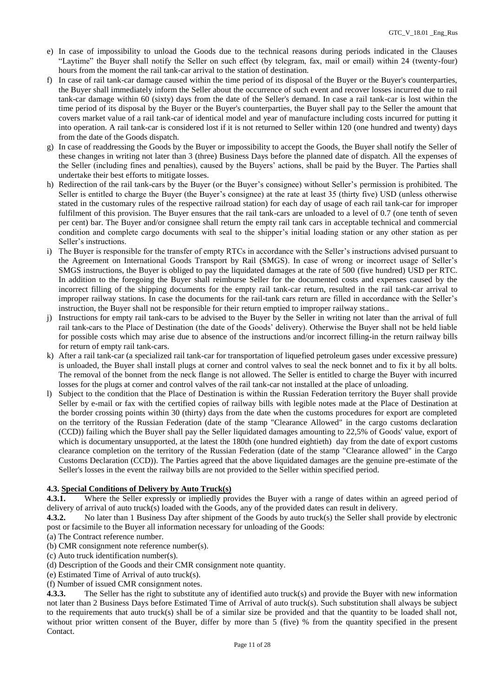- e) In case of impossibility to unload the Goods due to the technical reasons during periods indicated in the Clauses "Laytime" the Buyer shall notify the Seller on such effect (by telegram, fax, mail or email) within 24 (twenty-four) hours from the moment the rail tank-car arrival to the station of destination.
- f) In case of rail tank-car damage caused within the time period of its disposal of the Buyer or the Buyer's counterparties, the Buyer shall immediately inform the Seller about the occurrence of such event and recover losses incurred due to rail tank-car damage within 60 (sixty) days from the date of the Seller's demand. In case a rail tank-car is lost within the time period of its disposal by the Buyer or the Buyer's counterparties, the Buyer shall pay to the Seller the amount that covers market value of a rail tank-car of identical model and year of manufacture including costs incurred for putting it into operation. A rail tank-car is considered lost if it is not returned to Seller within 120 (one hundred and twenty) days from the date of the Goods dispatch.
- g) In case of readdressing the Goods by the Buyer or impossibility to accept the Goods, the Buyer shall notify the Seller of these changes in writing not later than 3 (three) Business Days before the planned date of dispatch. All the expenses of the Seller (including fines and penalties), caused by the Buyers' actions, shall be paid by the Buyer. The Parties shall undertake their best efforts to mitigate losses.
- h) Redirection of the rail tank-cars by the Buyer (or the Buyer's consignee) without Seller's permission is prohibited. The Seller is entitled to charge the Buyer (the Buyer's consignee) at the rate at least 35 (thirty five) USD (unless otherwise stated in the customary rules of the respective railroad station) for each day of usage of each rail tank-car for improper fulfilment of this provision. The Buyer ensures that the rail tank-cars are unloaded to a level of 0.7 (one tenth of seven per cent) bar. The Buyer and/or consignee shall return the empty rail tank cars in acceptable technical and commercial condition and complete cargo documents with seal to the shipper's initial loading station or any other station as per Seller's instructions.
- i) The Buyer is responsible for the transfer of empty RTCs in accordance with the Seller's instructions advised pursuant to the Agreement on International Goods Transport by Rail (SMGS). In case of wrong or incorrect usage of Seller's SMGS instructions, the Buyer is obliged to pay the liquidated damages at the rate of 500 (five hundred) USD per RTC. In addition to the foregoing the Buyer shall reimburse Seller for the documented costs and expenses caused by the incorrect filling of the shipping documents for the empty rail tank-car return, resulted in the rail tank-car arrival to improper railway stations. In case the documents for the rail-tank cars return are filled in accordance with the Seller's instruction, the Buyer shall not be responsible for their return emptied to improper railway stations..
- j) Instructions for empty rail tank-cars to be advised to the Buyer by the Seller in writing not later than the arrival of full rail tank-cars to the Place of Destination (the date of the Goods' delivery). Otherwise the Buyer shall not be held liable for possible costs which may arise due to absence of the instructions and/or incorrect filling-in the return railway bills for return of empty rail tank-cars.
- k) After a rail tank-car (a specialized rail tank-car for transportation of liquefied petroleum gases under excessive pressure) is unloaded, the Buyer shall install plugs at corner and control valves to seal the neck bonnet and to fix it by all bolts. The removal of the bonnet from the neck flange is not allowed. The Seller is entitled to charge the Buyer with incurred losses for the plugs at corner and control valves of the rail tank-car not installed at the place of unloading.
- l) Subject to the condition that the Place of Destination is within the Russian Federation territory the Buyer shall provide Seller by e-mail or fax with the certified copies of railway bills with legible notes made at the Place of Destination at the border crossing points within 30 (thirty) days from the date when the customs procedures for export are completed on the territory of the Russian Federation (date of the stamp "Clearance Allowed" in the cargo customs declaration (CCD)) failing which the Buyer shall pay the Seller liquidated damages amounting to 22,5% of Goods' value, export of which is documentary unsupported, at the latest the 180th (one hundred eightieth) day from the date of export customs clearance completion on the territory of the Russian Federation (date of the stamp "Clearance allowed" in the Cargo Customs Declaration (CCD)). The Parties agreed that the above liquidated damages are the genuine pre-estimate of the Seller's losses in the event the railway bills are not provided to the Seller within specified period.

# **4.3. Special Conditions of Delivery by Auto Truck(s)**

**4.3.1.** Where the Seller expressly or impliedly provides the Buyer with a range of dates within an agreed period of delivery of arrival of auto truck(s) loaded with the Goods, any of the provided dates can result in delivery.

**4.3.2.** No later than 1 Business Day after shipment of the Goods by auto truck(s) the Seller shall provide by electronic post or facsimile to the Buyer all information necessary for unloading of the Goods:

- (a) The Contract reference number.
- (b) CMR consignment note reference number(s).
- (c) Auto truck identification number(s).
- (d) Description of the Goods and their CMR consignment note quantity.
- (e) Estimated Time of Arrival of auto truck(s).
- (f) Number of issued CMR consignment notes.

**4.3.3.** The Seller has the right to substitute any of identified auto truck(s) and provide the Buyer with new information not later than 2 Business Days before Estimated Time of Arrival of auto truck(s). Such substitution shall always be subject to the requirements that auto truck(s) shall be of a similar size be provided and that the quantity to be loaded shall not, without prior written consent of the Buyer, differ by more than 5 (five) % from the quantity specified in the present Contact.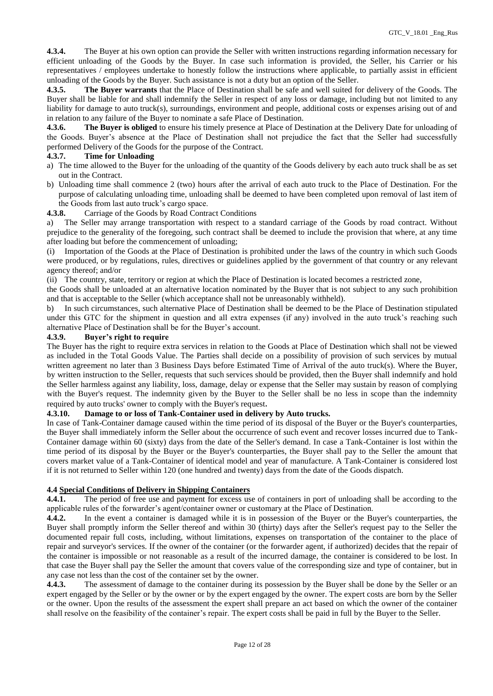**4.3.4.** The Buyer at his own option can provide the Seller with written instructions regarding information necessary for efficient unloading of the Goods by the Buyer. In case such information is provided, the Seller, his Carrier or his representatives / employees undertake to honestly follow the instructions where applicable, to partially assist in efficient unloading of the Goods by the Buyer. Such assistance is not a duty but an option of the Seller.

**4.3.5. The Buyer warrants** that the Place of Destination shall be safe and well suited for delivery of the Goods. The Buyer shall be liable for and shall indemnify the Seller in respect of any loss or damage, including but not limited to any liability for damage to auto truck(s), surroundings, environment and people, additional costs or expenses arising out of and in relation to any failure of the Buyer to nominate a safe Place of Destination.

**4.3.6. The Buyer is obliged** to ensure his timely presence at Place of Destination at the Delivery Date for unloading of the Goods. Buyer's absence at the Place of Destination shall not prejudice the fact that the Seller had successfully performed Delivery of the Goods for the purpose of the Contract.

## **4.3.7. Time for Unloading**

- a) The time allowed to the Buyer for the unloading of the quantity of the Goods delivery by each auto truck shall be as set out in the Contract.
- b) Unloading time shall commence 2 (two) hours after the arrival of each auto truck to the Place of Destination. For the purpose of calculating unloading time, unloading shall be deemed to have been completed upon removal of last item of the Goods from last auto truck's cargo space.

**4.3.8.** Carriage of the Goods by Road Contract Conditions

a) The Seller may arrange transportation with respect to a standard carriage of the Goods by road contract. Without prejudice to the generality of the foregoing, such contract shall be deemed to include the provision that where, at any time after loading but before the commencement of unloading;

(i) Importation of the Goods at the Place of Destination is prohibited under the laws of the country in which such Goods were produced, or by regulations, rules, directives or guidelines applied by the government of that country or any relevant agency thereof; and/or

(ii) The country, state, territory or region at which the Place of Destination is located becomes a restricted zone,

the Goods shall be unloaded at an alternative location nominated by the Buyer that is not subject to any such prohibition and that is acceptable to the Seller (which acceptance shall not be unreasonably withheld).

b) In such circumstances, such alternative Place of Destination shall be deemed to be the Place of Destination stipulated under this GTC for the shipment in question and all extra expenses (if any) involved in the auto truck's reaching such alternative Place of Destination shall be for the Buyer's account.

## **4.3.9. Buyer's right to require**

The Buyer has the right to require extra services in relation to the Goods at Place of Destination which shall not be viewed as included in the Total Goods Value. The Parties shall decide on a possibility of provision of such services by mutual written agreement no later than 3 Business Days before Estimated Time of Arrival of the auto truck(s). Where the Buyer, by written instruction to the Seller, requests that such services should be provided, then the Buyer shall indemnify and hold the Seller harmless against any liability, loss, damage, delay or expense that the Seller may sustain by reason of complying with the Buyer's request. The indemnity given by the Buyer to the Seller shall be no less in scope than the indemnity required by auto trucks' owner to comply with the Buyer's request.

# **4.3.10. Damage to or loss of Tank-Container used in delivery by Auto trucks.**

In case of Tank-Container damage caused within the time period of its disposal of the Buyer or the Buyer's counterparties, the Buyer shall immediately inform the Seller about the occurrence of such event and recover losses incurred due to Tank-Container damage within 60 (sixty) days from the date of the Seller's demand. In case a Tank-Container is lost within the time period of its disposal by the Buyer or the Buyer's counterparties, the Buyer shall pay to the Seller the amount that covers market value of a Tank-Container of identical model and year of manufacture. A Tank-Container is considered lost if it is not returned to Seller within 120 (one hundred and twenty) days from the date of the Goods dispatch.

## **4.4 Special Conditions of Delivery in Shipping Containers**

**4.4.1.** The period of free use and payment for excess use of containers in port of unloading shall be according to the applicable rules of the forwarder's agent/container owner or customary at the Place of Destination.

**4.4.2.** In the event a container is damaged while it is in possession of the Buyer or the Buyer's counterparties, the Buyer shall promptly inform the Seller thereof and within 30 (thirty) days after the Seller's request pay to the Seller the documented repair full costs, including, without limitations, expenses on transportation of the container to the place of repair and surveyor's services. If the owner of the container (or the forwarder agent, if authorized) decides that the repair of the container is impossible or not reasonable as a result of the incurred damage, the container is considered to be lost. In that case the Buyer shall pay the Seller the amount that covers value of the corresponding size and type of container, but in any case not less than the cost of the container set by the owner.

**4.4.3.** The assessment of damage to the container during its possession by the Buyer shall be done by the Seller or an expert engaged by the Seller or by the owner or by the expert engaged by the owner. The expert costs are born by the Seller or the owner. Upon the results of the assessment the expert shall prepare an act based on which the owner of the container shall resolve on the feasibility of the container's repair. The expert costs shall be paid in full by the Buyer to the Seller.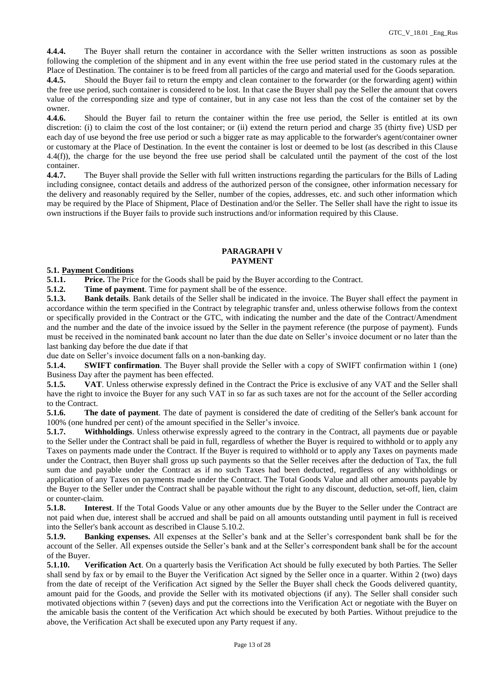**4.4.4.** The Buyer shall return the container in accordance with the Seller written instructions as soon as possible following the completion of the shipment and in any event within the free use period stated in the customary rules at the Place of Destination. The container is to be freed from all particles of the cargo and material used for the Goods separation. **4.4.5.** Should the Buyer fail to return the empty and clean container to the forwarder (or the forwarding agent) within the free use period, such container is considered to be lost. In that case the Buyer shall pay the Seller the amount that covers value of the corresponding size and type of container, but in any case not less than the cost of the container set by the

owner. **4.4.6.** Should the Buyer fail to return the container within the free use period, the Seller is entitled at its own discretion: (i) to claim the cost of the lost container; or (ii) extend the return period and charge 35 (thirty five) USD per each day of use beyond the free use period or such a bigger rate as may applicable to the forwarder's agent/container owner or customary at the Place of Destination. In the event the container is lost or deemed to be lost (as described in this Clause 4.4(f)), the charge for the use beyond the free use period shall be calculated until the payment of the cost of the lost container.

**4.4.7.** The Buyer shall provide the Seller with full written instructions regarding the particulars for the Bills of Lading including consignee, contact details and address of the authorized person of the consignee, other information necessary for the delivery and reasonably required by the Seller, number of the copies, addresses, etc. and such other information which may be required by the Place of Shipment, Place of Destination and/or the Seller. The Seller shall have the right to issue its own instructions if the Buyer fails to provide such instructions and/or information required by this Clause.

## **PARAGRAPH V PAYMENT**

## **5.1. Payment Conditions**

**5.1.1. Price.** The Price for the Goods shall be paid by the Buyer according to the Contract.

**5.1.2. Time of payment**. Time for payment shall be of the essence.

**5.1.3. Bank details**. Bank details of the Seller shall be indicated in the invoice. The Buyer shall effect the payment in accordance within the term specified in the Contract by telegraphic transfer and, unless otherwise follows from the context or specifically provided in the Contract or the GTC, with indicating the number and the date of the Contract/Amendment and the number and the date of the invoice issued by the Seller in the payment reference (the purpose of payment). Funds must be received in the nominated bank account no later than the due date on Seller's invoice document or no later than the last banking day before the due date if that

due date on Seller's invoice document falls on a non-banking day.

**5.1.4. SWIFT confirmation**. The Buyer shall provide the Seller with a copy of SWIFT confirmation within 1 (one) Business Day after the payment has been effected.

**5.1.5. VAT**. Unless otherwise expressly defined in the Contract the Price is exclusive of any VAT and the Seller shall have the right to invoice the Buyer for any such VAT in so far as such taxes are not for the account of the Seller according to the Contract.

**5.1.6. The date of payment**. The date of payment is considered the date of crediting of the Seller's bank account for 100% (one hundred per cent) of the amount specified in the Seller's invoice.

**5.1.7. Withholdings**. Unless otherwise expressly agreed to the contrary in the Contract, all payments due or payable to the Seller under the Contract shall be paid in full, regardless of whether the Buyer is required to withhold or to apply any Taxes on payments made under the Contract. If the Buyer is required to withhold or to apply any Taxes on payments made under the Contract, then Buyer shall gross up such payments so that the Seller receives after the deduction of Tax, the full sum due and payable under the Contract as if no such Taxes had been deducted, regardless of any withholdings or application of any Taxes on payments made under the Contract. The Total Goods Value and all other amounts payable by the Buyer to the Seller under the Contract shall be payable without the right to any discount, deduction, set-off, lien, claim or counter-claim.

**5.1.8. Interest**. If the Total Goods Value or any other amounts due by the Buyer to the Seller under the Contract are not paid when due, interest shall be accrued and shall be paid on all amounts outstanding until payment in full is received into the Seller's bank account as described in Clause 5.10.2.

**5.1.9. Banking expenses.** All expenses at the Seller's bank and at the Seller's correspondent bank shall be for the account of the Seller. All expenses outside the Seller's bank and at the Seller's correspondent bank shall be for the account of the Buyer.

**5.1.10. Verification Act**. On a quarterly basis the Verification Act should be fully executed by both Parties. The Seller shall send by fax or by email to the Buyer the Verification Act signed by the Seller once in a quarter. Within 2 (two) days from the date of receipt of the Verification Act signed by the Seller the Buyer shall check the Goods delivered quantity, amount paid for the Goods, and provide the Seller with its motivated objections (if any). The Seller shall consider such motivated objections within 7 (seven) days and put the corrections into the Verification Act or negotiate with the Buyer on the amicable basis the content of the Verification Act which should be executed by both Parties. Without prejudice to the above, the Verification Act shall be executed upon any Party request if any.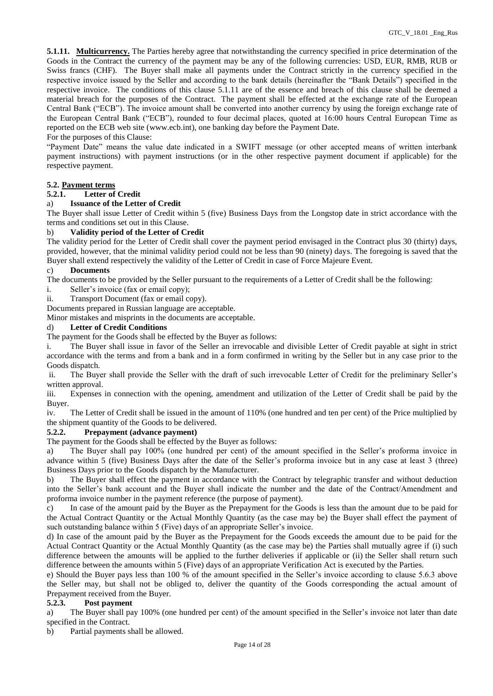**5.1.11. Multicurrency.** The Parties hereby agree that notwithstanding the currency specified in price determination of the Goods in the Contract the currency of the payment may be any of the following currencies: USD, EUR, RMB, RUB or Swiss francs (CHF). The Buyer shall make all payments under the Contract strictly in the currency specified in the respective invoice issued by the Seller and according to the bank details (hereinafter the "Bank Details") specified in the respective invoice. The conditions of this clause 5.1.11 are of the essence and breach of this clause shall be deemed a material breach for the purposes of the Contract. The payment shall be effected at the exchange rate of the European Central Bank ("ECB"). The invoice amount shall be converted into another currency by using the foreign exchange rate of the European Central Bank ("ECB"), rounded to four decimal places, quoted at 16:00 hours Central European Time as reported on the ECB web site [\(www.ecb.int\)](https://urldefense.proofpoint.com/v2/url?u=http-3A__www.ecb.int&d=DwMGaQ&c=ptMoEJ5oTofwe4L9tBtGCQ&r=NKFf0xBnqjEI9x7Jy2O4LnREaIU2RCSKwLPa1twtm2k&m=nutHxWE4p16GbrnDEzTBAmAcABmevyKWvts0KDzcvg0&s=p_bgQn342ZRvhTogEJc9-lkNZ6vFQb8aUDkEkUx6vN4&e=), one banking day before the Payment Date.

## For the purposes of this Clause:

"Payment Date" means the value date indicated in a SWIFT message (or other accepted means of written interbank payment instructions) with payment instructions (or in the other respective payment document if applicable) for the respective payment.

## **5.2. Payment terms**

## **5.2.1. Letter of Credit**

## a) **Issuance of the Letter of Credit**

The Buyer shall issue Letter of Credit within 5 (five) Business Days from the Longstop date in strict accordance with the terms and conditions set out in this Clause.

## b) **Validity period of the Letter of Credit**

The validity period for the Letter of Credit shall cover the payment period envisaged in the Contract plus 30 (thirty) days, provided, however, that the minimal validity period could not be less than 90 (ninety) days. The foregoing is saved that the Buyer shall extend respectively the validity of the Letter of Credit in case of Force Majeure Event.

## c) **Documents**

The documents to be provided by the Seller pursuant to the requirements of a Letter of Credit shall be the following:

- i. Seller's invoice (fax or email copy);
- ii. Transport Document (fax or email copy).

Documents prepared in Russian language are acceptable.

Minor mistakes and misprints in the documents are acceptable.

## d) **Letter of Credit Conditions**

The payment for the Goods shall be effected by the Buyer as follows:

i. The Buyer shall issue in favor of the Seller an irrevocable and divisible Letter of Credit payable at sight in strict accordance with the terms and from a bank and in a form confirmed in writing by the Seller but in any case prior to the Goods dispatch.

ii. The Buyer shall provide the Seller with the draft of such irrevocable Letter of Credit for the preliminary Seller's written approval.

iii. Expenses in connection with the opening, amendment and utilization of the Letter of Credit shall be paid by the Buyer.

iv. The Letter of Credit shall be issued in the amount of 110% (one hundred and ten per cent) of the Price multiplied by the shipment quantity of the Goods to be delivered.

# **5.2.2. Prepayment (advance payment)**

The payment for the Goods shall be effected by the Buyer as follows:

a) The Buyer shall pay 100% (one hundred per cent) of the amount specified in the Seller's proforma invoice in advance within 5 (five) Business Days after the date of the Seller's proforma invoice but in any case at least 3 (three) Business Days prior to the Goods dispatch by the Manufacturer.

b) The Buyer shall effect the payment in accordance with the Contract by telegraphic transfer and without deduction into the Seller's bank account and the Buyer shall indicate the number and the date of the Contract/Amendment and proforma invoice number in the payment reference (the purpose of payment).

c) In case of the amount paid by the Buyer as the Prepayment for the Goods is less than the amount due to be paid for the Actual Contract Quantity or the Actual Monthly Quantity (as the case may be) the Buyer shall effect the payment of such outstanding balance within 5 (Five) days of an appropriate Seller's invoice.

d) In case of the amount paid by the Buyer as the Prepayment for the Goods exceeds the amount due to be paid for the Actual Contract Quantity or the Actual Monthly Quantity (as the case may be) the Parties shall mutually agree if (i) such difference between the amounts will be applied to the further deliveries if applicable or (ii) the Seller shall return such difference between the amounts within 5 (Five) days of an appropriate Verification Act is executed by the Parties.

e) Should the Buyer pays less than 100 % of the amount specified in the Seller's invoice according to clause 5.6.3 above the Seller may, but shall not be obliged to, deliver the quantity of the Goods corresponding the actual amount of Prepayment received from the Buyer.

# **5.2.3. Post payment**

a) The Buyer shall pay 100% (one hundred per cent) of the amount specified in the Seller's invoice not later than date specified in the Contract.

b) Partial payments shall be allowed.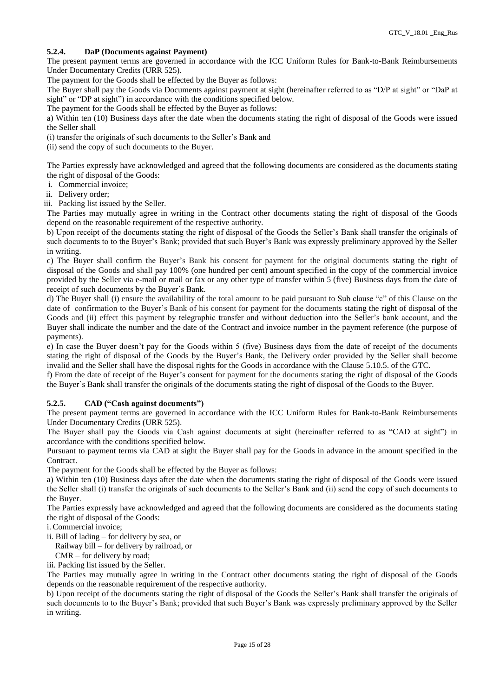# **5.2.4. DaP (Documents against Payment)**

The present payment terms are governed in accordance with the ICC Uniform Rules for Bank-to-Bank Reimbursements Under Documentary Credits (URR 525).

The payment for the Goods shall be effected by the Buyer as follows:

The Buyer shall pay the Goods via Documents against payment at sight (hereinafter referred to as "D/P at sight" or "DaP at sight" or "DP at sight") in accordance with the conditions specified below.

The payment for the Goods shall be effected by the Buyer as follows:

a) Within ten (10) Business days after the date when the documents stating the right of disposal of the Goods were issued the Seller shall

(i) transfer the originals of such documents to the Seller's Bank and

(ii) send the copy of such documents to the Buyer.

The Parties expressly have acknowledged and agreed that the following documents are considered as the documents stating the right of disposal of the Goods:

i. Commercial invoice;

ii. Delivery order;

iii. Packing list issued by the Seller.

The Parties may mutually agree in writing in the Contract other documents stating the right of disposal of the Goods depend on the reasonable requirement of the respective authority.

b) Upon receipt of the documents stating the right of disposal of the Goods the Seller's Bank shall transfer the originals of such documents to to the Buyer's Bank; provided that such Buyer's Bank was expressly preliminary approved by the Seller in writing.

c) The Buyer shall confirm the Buyer's Bank his consent for payment for the original documents stating the right of disposal of the Goods and shall pay 100% (one hundred per cent) amount specified in the copy of the commercial invoice provided by the Seller via e-mail or mail or fax or any other type of transfer within 5 (five) Business days from the date of receipt of such documents by the Buyer's Bank.

d) The Buyer shall (i) ensure the availability of the total amount to be paid pursuant to Sub clause "c" of this Clause on the date of confirmation to the Buyer's Bank of his consent for payment for the documents stating the right of disposal of the Goods and (ii) effect this payment by telegraphic transfer and without deduction into the Seller's bank account, and the Buyer shall indicate the number and the date of the Contract and invoice number in the payment reference (the purpose of payments).

e) In case the Buyer doesn't pay for the Goods within 5 (five) Business days from the date of receipt of the documents stating the right of disposal of the Goods by the Buyer's Bank, the Delivery order provided by the Seller shall become invalid and the Seller shall have the disposal rights for the Goods in accordance with the Clause 5.10.5. of the GTC.

f) From the date of receipt of the Buyer's consent for payment for the documents stating the right of disposal of the Goods the Buyer`s Bank shall transfer the originals of the documents stating the right of disposal of the Goods to the Buyer.

# **5.2.5. CAD ("Cash against documents")**

The present payment terms are governed in accordance with the ICC Uniform Rules for Bank-to-Bank Reimbursements Under Documentary Credits (URR 525).

The Buyer shall pay the Goods via Cash against documents at sight (hereinafter referred to as "CAD at sight") in accordance with the conditions specified below.

Pursuant to payment terms via CAD at sight the Buyer shall pay for the Goods in advance in the amount specified in the Contract.

The payment for the Goods shall be effected by the Buyer as follows:

a) Within ten (10) Business days after the date when the documents stating the right of disposal of the Goods were issued the Seller shall (i) transfer the originals of such documents to the Seller's Bank and (ii) send the copy of such documents to the Buyer.

The Parties expressly have acknowledged and agreed that the following documents are considered as the documents stating the right of disposal of the Goods:

i. Commercial invoice;

ii. Bill of lading – for delivery by sea, or

Railway bill – for delivery by railroad, or

CMR – for delivery by road;

iii. Packing list issued by the Seller.

The Parties may mutually agree in writing in the Contract other documents stating the right of disposal of the Goods depends on the reasonable requirement of the respective authority.

b) Upon receipt of the documents stating the right of disposal of the Goods the Seller's Bank shall transfer the originals of such documents to to the Buyer's Bank; provided that such Buyer's Bank was expressly preliminary approved by the Seller in writing.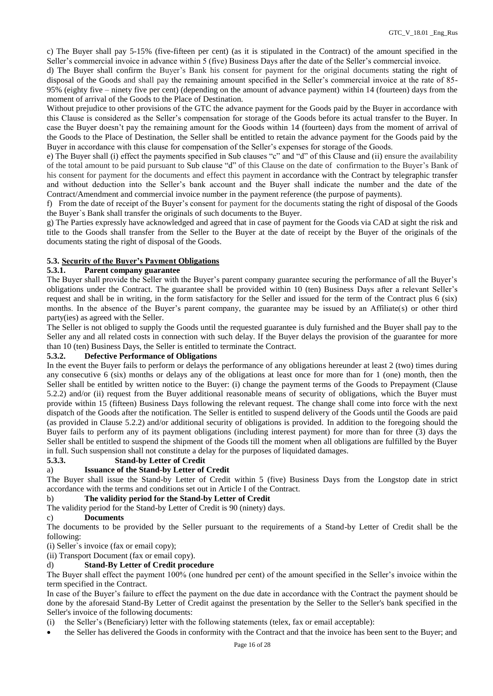c) The Buyer shall pay 5-15% (five-fifteen per cent) (as it is stipulated in the Contract) of the amount specified in the Seller's commercial invoice in advance within 5 (five) Business Days after the date of the Seller's commercial invoice.

d) The Buyer shall confirm the Buyer's Bank his consent for payment for the original documents stating the right of disposal of the Goods and shall pay the remaining amount specified in the Seller's commercial invoice at the rate of 85- 95% (eighty five – ninety five per cent) (depending on the amount of advance payment) within 14 (fourteen) days from the moment of arrival of the Goods to the Place of Destination.

Without prejudice to other provisions of the GTC the advance payment for the Goods paid by the Buyer in accordance with this Clause is considered as the Seller's compensation for storage of the Goods before its actual transfer to the Buyer. In case the Buyer doesn't pay the remaining amount for the Goods within 14 (fourteen) days from the moment of arrival of the Goods to the Place of Destination, the Seller shall be entitled to retain the advance payment for the Goods paid by the Buyer in accordance with this clause for compensation of the Seller's expenses for storage of the Goods.

e) The Buyer shall (i) effect the payments specified in Sub clauses "c" and "d" of this Clause and (ii) ensure the availability of the total amount to be paid pursuant to Sub clause "d" of this Clause on the date of confirmation to the Buyer's Bank of his consent for payment for the documents and effect this payment in accordance with the Contract by telegraphic transfer and without deduction into the Seller's bank account and the Buyer shall indicate the number and the date of the Contract/Amendment and commercial invoice number in the payment reference (the purpose of payments).

f) From the date of receipt of the Buyer's consent for payment for the documents stating the right of disposal of the Goods the Buyer`s Bank shall transfer the originals of such documents to the Buyer.

g) The Parties expressly have acknowledged and agreed that in case of payment for the Goods via CAD at sight the risk and title to the Goods shall transfer from the Seller to the Buyer at the date of receipt by the Buyer of the originals of the documents stating the right of disposal of the Goods.

# **5.3. Security of the Buyer's Payment Obligations**

## **5.3.1. Parent company guarantee**

The Buyer shall provide the Seller with the Buyer's parent company guarantee securing the performance of all the Buyer's obligations under the Contract. The guarantee shall be provided within 10 (ten) Business Days after a relevant Seller's request and shall be in writing, in the form satisfactory for the Seller and issued for the term of the Contract plus 6 (six) months. In the absence of the Buyer's parent company, the guarantee may be issued by an Affiliate(s) or other third party(ies) as agreed with the Seller.

The Seller is not obliged to supply the Goods until the requested guarantee is duly furnished and the Buyer shall pay to the Seller any and all related costs in connection with such delay. If the Buyer delays the provision of the guarantee for more than 10 (ten) Business Days, the Seller is entitled to terminate the Contract.

## **5.3.2. Defective Performance of Obligations**

In the event the Buyer fails to perform or delays the performance of any obligations hereunder at least 2 (two) times during any consecutive 6 (six) months or delays any of the obligations at least once for more than for 1 (one) month, then the Seller shall be entitled by written notice to the Buyer: (i) change the payment terms of the Goods to Prepayment (Clause 5.2.2) and/or (ii) request from the Buyer additional reasonable means of security of obligations, which the Buyer must provide within 15 (fifteen) Business Days following the relevant request. The change shall come into force with the next dispatch of the Goods after the notification. The Seller is entitled to suspend delivery of the Goods until the Goods are paid (as provided in Clause 5.2.2) and/or additional security of obligations is provided. In addition to the foregoing should the Buyer fails to perform any of its payment obligations (including interest payment) for more than for three (3) days the Seller shall be entitled to suspend the shipment of the Goods till the moment when all obligations are fulfilled by the Buyer in full. Such suspension shall not constitute a delay for the purposes of liquidated damages.

# **5.3.3. Stand-by Letter of Credit**

# a) **Issuance of the Stand-by Letter of Credit**

The Buyer shall issue the Stand-by Letter of Credit within 5 (five) Business Days from the Longstop date in strict accordance with the terms and conditions set out in Article I of the Contract.

# b) **The validity period for the Stand-by Letter of Credit**

The validity period for the Stand-by Letter of Credit is 90 (ninety) days.

# c) **Documents**

The documents to be provided by the Seller pursuant to the requirements of a Stand-by Letter of Credit shall be the following:

(i) Seller`s invoice (fax or email copy);

(ii) Transport Document (fax or email copy).

### d) **Stand-By Letter of Credit procedure**

The Buyer shall effect the payment 100% (one hundred per cent) of the amount specified in the Seller's invoice within the term specified in the Contract.

In case of the Buyer's failure to effect the payment on the due date in accordance with the Contract the payment should be done by the aforesaid Stand-By Letter of Credit against the presentation by the Seller to the Seller's bank specified in the Seller's invoice of the following documents:

(i) the Seller's (Beneficiary) letter with the following statements (telex, fax or email acceptable):

the Seller has delivered the Goods in conformity with the Contract and that the invoice has been sent to the Buyer; and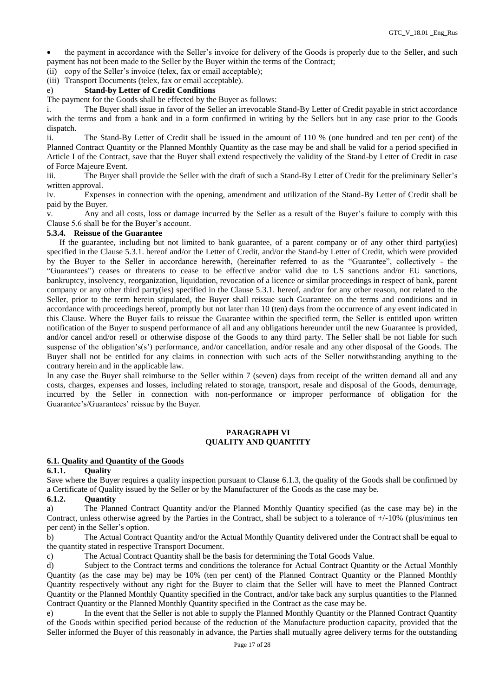the payment in accordance with the Seller's invoice for delivery of the Goods is properly due to the Seller, and such payment has not been made to the Seller by the Buyer within the terms of the Contract;

(ii) copy of the Seller's invoice (telex, fax or email acceptable);

(iii) Transport Documents (telex, fax or email acceptable).

### e) **Stand-by Letter of Credit Conditions**

The payment for the Goods shall be effected by the Buyer as follows:

i. The Buyer shall issue in favor of the Seller an irrevocable Stand-By Letter of Credit payable in strict accordance with the terms and from a bank and in a form confirmed in writing by the Sellers but in any case prior to the Goods dispatch.

ii. The Stand-By Letter of Credit shall be issued in the amount of 110 % (one hundred and ten per cent) of the Planned Contract Quantity or the Planned Monthly Quantity as the case may be and shall be valid for a period specified in Article I of the Contract, save that the Buyer shall extend respectively the validity of the Stand-by Letter of Credit in case of Force Majeure Event.

iii. The Buyer shall provide the Seller with the draft of such a Stand-By Letter of Credit for the preliminary Seller's written approval.

iv. Expenses in connection with the opening, amendment and utilization of the Stand-By Letter of Credit shall be paid by the Buyer.

v. Any and all costs, loss or damage incurred by the Seller as a result of the Buyer's failure to comply with this Clause 5.6 shall be for the Buyer's account.

## **5.3.4. Reissue of the Guarantee**

 If the guarantee, including but not limited to bank guarantee, of a parent company or of any other third party(ies) specified in the Clause 5.3.1. hereof and/or the Letter of Credit, and/or the Stand-by Letter of Credit, which were provided by the Buyer to the Seller in accordance herewith, (hereinafter referred to as the "Guarantee", collectively - the "Guarantees") ceases or threatens to cease to be effective and/or valid due to US sanctions and/or EU sanctions, bankruptcy, insolvency, reorganization, liquidation, revocation of a licence or similar proceedings in respect of bank, parent company or any other third party(ies) specified in the Clause 5.3.1. hereof, and/or for any other reason, not related to the Seller, prior to the term herein stipulated, the Buyer shall reissue such Guarantee on the terms and conditions and in accordance with proceedings hereof, promptly but not later than 10 (ten) days from the occurrence of any event indicated in this Clause. Where the Buyer fails to reissue the Guarantee within the specified term, the Seller is entitled upon written notification of the Buyer to suspend performance of all and any obligations hereunder until the new Guarantee is provided, and/or cancel and/or resell or otherwise dispose of the Goods to any third party. The Seller shall be not liable for such suspense of the obligation's(s') performance, and/or cancellation, and/or resale and any other disposal of the Goods. The Buyer shall not be entitled for any claims in connection with such acts of the Seller notwithstanding anything to the contrary herein and in the applicable law.

In any case the Buyer shall reimburse to the Seller within 7 (seven) days from receipt of the written demand all and any costs, charges, expenses and losses, including related to storage, transport, resale and disposal of the Goods, demurrage, incurred by the Seller in connection with non-performance or improper performance of obligation for the Guarantee's/Guarantees' reissue by the Buyer.

# **PARAGRAPH VI QUALITY AND QUANTITY**

#### **6.1. Quality and Quantity of the Goods**

#### **6.1.1. Quality**

Save where the Buyer requires a quality inspection pursuant to Clause 6.1.3, the quality of the Goods shall be confirmed by a Certificate of Quality issued by the Seller or by the Manufacturer of the Goods as the case may be.

## **6.1.2. Quantity**

a) The Planned Contract Quantity and/or the Planned Monthly Quantity specified (as the case may be) in the Contract, unless otherwise agreed by the Parties in the Contract, shall be subject to a tolerance of +/-10% (plus/minus ten per cent) in the Seller's option.

b) The Actual Contract Quantity and/or the Actual Monthly Quantity delivered under the Contract shall be equal to the quantity stated in respective Transport Document.

c) The Actual Contract Quantity shall be the basis for determining the Total Goods Value.

d) Subject to the Contract terms and conditions the tolerance for Actual Contract Quantity or the Actual Monthly Quantity (as the case may be) may be 10% (ten per cent) of the Planned Contract Quantity or the Planned Monthly Quantity respectively without any right for the Buyer to claim that the Seller will have to meet the Planned Contract Quantity or the Planned Monthly Quantity specified in the Contract, and/or take back any surplus quantities to the Planned Contract Quantity or the Planned Monthly Quantity specified in the Contract as the case may be.

e) In the event that the Seller is not able to supply the Planned Monthly Quantity or the Planned Contract Quantity of the Goods within specified period because of the reduction of the Manufacture production capacity, provided that the Seller informed the Buyer of this reasonably in advance, the Parties shall mutually agree delivery terms for the outstanding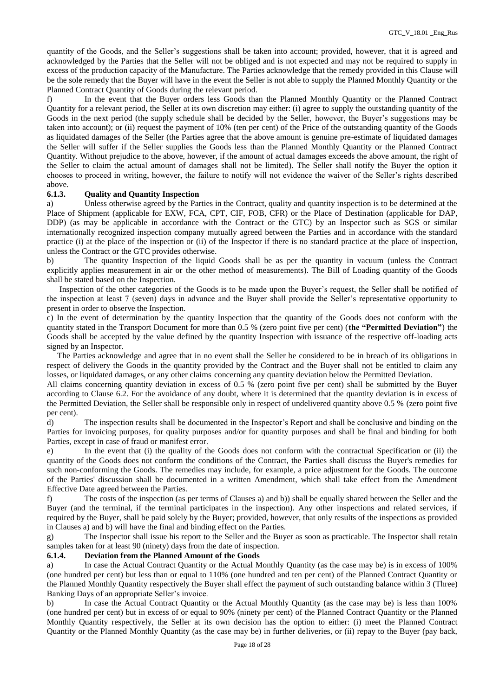quantity of the Goods, and the Seller's suggestions shall be taken into account; provided, however, that it is agreed and acknowledged by the Parties that the Seller will not be obliged and is not expected and may not be required to supply in excess of the production capacity of the Manufacture. The Parties acknowledge that the remedy provided in this Clause will be the sole remedy that the Buyer will have in the event the Seller is not able to supply the Planned Monthly Quantity or the Planned Contract Quantity of Goods during the relevant period.

f) In the event that the Buyer orders less Goods than the Planned Monthly Quantity or the Planned Contract Quantity for a relevant period, the Seller at its own discretion may either: (i) agree to supply the outstanding quantity of the Goods in the next period (the supply schedule shall be decided by the Seller, however, the Buyer's suggestions may be taken into account); or (ii) request the payment of 10% (ten per cent) of the Price of the outstanding quantity of the Goods as liquidated damages of the Seller (the Parties agree that the above amount is genuine pre-estimate of liquidated damages the Seller will suffer if the Seller supplies the Goods less than the Planned Monthly Quantity or the Planned Contract Quantity. Without prejudice to the above, however, if the amount of actual damages exceeds the above amount, the right of the Seller to claim the actual amount of damages shall not be limited). The Seller shall notify the Buyer the option it chooses to proceed in writing, however, the failure to notify will not evidence the waiver of the Seller's rights described above.

### **6.1.3. Quality and Quantity Inspection**

a) Unless otherwise agreed by the Parties in the Contract, quality and quantity inspection is to be determined at the Place of Shipment (applicable for EXW, FCA, CPT, CIF, FOB, CFR) or the Place of Destination (applicable for DAP, DDP) (as may be applicable in accordance with the Contract or the GTC) by an Inspector such as SGS or similar internationally recognized inspection company mutually agreed between the Parties and in accordance with the standard practice (i) at the place of the inspection or (ii) of the Inspector if there is no standard practice at the place of inspection, unless the Contract or the GTC provides otherwise.

b) The quantity Inspection of the liquid Goods shall be as per the quantity in vacuum (unless the Contract explicitly applies measurement in air or the other method of measurements). The Bill of Loading quantity of the Goods shall be stated based on the Inspection.

 Inspection of the other categories of the Goods is to be made upon the Buyer's request, the Seller shall be notified of the inspection at least 7 (seven) days in advance and the Buyer shall provide the Seller's representative opportunity to present in order to observe the Inspection.

c) In the event of determination by the quantity Inspection that the quantity of the Goods does not conform with the quantity stated in the Transport Document for more than 0.5 % (zero point five per cent) (**the "Permitted Deviation"**) the Goods shall be accepted by the value defined by the quantity Inspection with issuance of the respective off-loading acts signed by an Inspector.

 The Parties acknowledge and agree that in no event shall the Seller be considered to be in breach of its obligations in respect of delivery the Goods in the quantity provided by the Contract and the Buyer shall not be entitled to claim any losses, or liquidated damages, or any other claims concerning any quantity deviation below the Permitted Deviation.

All claims concerning quantity deviation in excess of 0.5 % (zero point five per cent) shall be submitted by the Buyer according to Clause 6.2. For the avoidance of any doubt, where it is determined that the quantity deviation is in excess of the Permitted Deviation, the Seller shall be responsible only in respect of undelivered quantity above 0.5 % (zero point five per cent).

d) The inspection results shall be documented in the Inspector's Report and shall be conclusive and binding on the Parties for invoicing purposes, for quality purposes and/or for quantity purposes and shall be final and binding for both Parties, except in case of fraud or manifest error.

e) In the event that (i) the quality of the Goods does not conform with the contractual Specification or (ii) the quantity of the Goods does not conform the conditions of the Contract, the Parties shall discuss the Buyer's remedies for such non-conforming the Goods. The remedies may include, for example, a price adjustment for the Goods. The outcome of the Parties' discussion shall be documented in a written Amendment, which shall take effect from the Amendment Effective Date agreed between the Parties.

f) The costs of the inspection (as per terms of Clauses a) and b)) shall be equally shared between the Seller and the Buyer (and the terminal, if the terminal participates in the inspection). Any other inspections and related services, if required by the Buyer, shall be paid solely by the Buyer; provided, however, that only results of the inspections as provided in Clauses a) and b) will have the final and binding effect on the Parties.

g) The Inspector shall issue his report to the Seller and the Buyer as soon as practicable. The Inspector shall retain samples taken for at least 90 (ninety) days from the date of inspection.

# **6.1.4. Deviation from the Planned Amount of the Goods**

a) In case the Actual Contract Quantity or the Actual Monthly Quantity (as the case may be) is in excess of 100% (one hundred per cent) but less than or equal to 110% (one hundred and ten per cent) of the Planned Contract Quantity or the Planned Monthly Quantity respectively the Buyer shall effect the payment of such outstanding balance within 3 (Three) Banking Days of an appropriate Seller's invoice.

In case the Actual Contract Quantity or the Actual Monthly Quantity (as the case may be) is less than 100% (one hundred per cent) but in excess of or equal to 90% (ninety per cent) of the Planned Contract Quantity or the Planned Monthly Quantity respectively, the Seller at its own decision has the option to either: (i) meet the Planned Contract Quantity or the Planned Monthly Quantity (as the case may be) in further deliveries, or (ii) repay to the Buyer (pay back,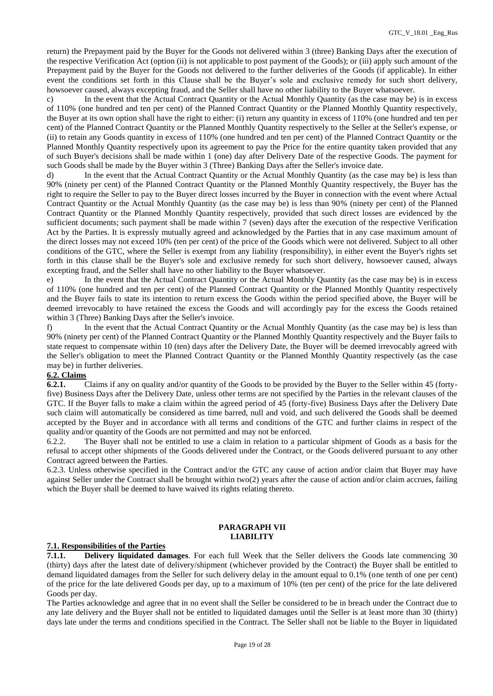return) the Prepayment paid by the Buyer for the Goods not delivered within 3 (three) Banking Days after the execution of the respective Verification Act (option (ii) is not applicable to post payment of the Goods); or (iii) apply such amount of the Prepayment paid by the Buyer for the Goods not delivered to the further deliveries of the Goods (if applicable). In either event the conditions set forth in this Сlause shall be the Buyer's sole and exclusive remedy for such short delivery, howsoever caused, always excepting fraud, and the Seller shall have no other liability to the Buyer whatsoever.

c) In the event that the Actual Contract Quantity or the Actual Monthly Quantity (as the case may be) is in excess of 110% (one hundred and ten per cent) of the Planned Contract Quantity or the Planned Monthly Quantity respectively, the Buyer at its own option shall have the right to either: (i) return any quantity in excess of 110% (one hundred and ten per cent) of the Planned Contract Quantity or the Planned Monthly Quantity respectively to the Seller at the Seller's expense, or (ii) to retain any Goods quantity in excess of 110% (one hundred and ten per cent) of the Planned Contract Quantity or the Planned Monthly Quantity respectively upon its agreement to pay the Price for the entire quantity taken provided that any of such Buyer's decisions shall be made within 1 (one) day after Delivery Date of the respective Goods. The payment for such Goods shall be made by the Buyer within 3 (Three) Banking Days after the Seller's invoice date.

d) In the event that the Actual Contract Quantity or the Actual Monthly Quantity (as the case may be) is less than 90% (ninety per cent) of the Planned Contract Quantity or the Planned Monthly Quantity respectively, the Buyer has the right to require the Seller to pay to the Buyer direct losses incurred by the Buyer in connection with the event where Actual Contract Quantity or the Actual Monthly Quantity (as the case may be) is less than 90% (ninety per cent) of the Planned Contract Quantity or the Planned Monthly Quantity respectively, provided that such direct losses are evidenced by the sufficient documents; such payment shall be made within 7 (seven) days after the execution of the respective Verification Act by the Parties. It is expressly mutually agreed and acknowledged by the Parties that in any case maximum amount of the direct losses may not exceed 10% (ten per cent) of the price of the Goods which were not delivered. Subject to all other conditions of the GTC, where the Seller is exempt from any liability (responsibility), in either event the Buyer's rights set forth in this clause shall be the Buyer's sole and exclusive remedy for such short delivery, howsoever caused, always excepting fraud, and the Seller shall have no other liability to the Buyer whatsoever.

e) In the event that the Actual Contract Quantity or the Actual Monthly Quantity (as the case may be) is in excess of 110% (one hundred and ten per cent) of the Planned Contract Quantity or the Planned Monthly Quantity respectively and the Buyer fails to state its intention to return excess the Goods within the period specified above, the Buyer will be deemed irrevocably to have retained the excess the Goods and will accordingly pay for the excess the Goods retained within 3 (Three) Banking Days after the Seller's invoice.

f) In the event that the Actual Contract Quantity or the Actual Monthly Quantity (as the case may be) is less than 90% (ninety per cent) of the Planned Contract Quantity or the Planned Monthly Quantity respectively and the Buyer fails to state request to compensate within 10 (ten) days after the Delivery Date, the Buyer will be deemed irrevocably agreed with the Seller's obligation to meet the Planned Contract Quantity or the Planned Monthly Quantity respectively (as the case may be) in further deliveries.

## **6.2. Claims**

**6.2.1.** Claims if any on quality and/or quantity of the Goods to be provided by the Buyer to the Seller within 45 (fortyfive) Business Days after the Delivery Date, unless other terms are not specified by the Parties in the relevant clauses of the GTC. If the Buyer falls to make a claim within the agreed period of 45 (forty-five) Business Days after the Delivery Date such claim will automatically be considered as time barred, null and void, and such delivered the Goods shall be deemed accepted by the Buyer and in accordance with all terms and conditions of the GTC and further claims in respect of the quality and/or quantity of the Goods are not permitted and may not be enforced.

6.2.2. The Buyer shall not be entitled to use a claim in relation to a particular shipment of Goods as a basis for the refusal to accept other shipments of the Goods delivered under the Contract, or the Goods delivered pursuant to any other Contract agreed between the Parties.

6.2.3. Unless otherwise specified in the Contract and/or the GTC any cause of action and/or claim that Buyer may have against Seller under the Contract shall be brought within two(2) years after the cause of action and/or claim accrues, failing which the Buyer shall be deemed to have waived its rights relating thereto.

## **PARAGRAPH VII LIABILITY**

#### **7.1. Responsibilities of the Parties**

**7.1.1. Delivery liquidated damages**. For each full Week that the Seller delivers the Goods late commencing 30 (thirty) days after the latest date of delivery/shipment (whichever provided by the Contract) the Buyer shall be entitled to demand liquidated damages from the Seller for such delivery delay in the amount equal to 0.1% (one tenth of one per cent) of the price for the late delivered Goods per day, up to a maximum of 10% (ten per cent) of the price for the late delivered Goods per day.

The Parties acknowledge and agree that in no event shall the Seller be considered to be in breach under the Contract due to any late delivery and the Buyer shall not be entitled to liquidated damages until the Seller is at least more than 30 (thirty) days late under the terms and conditions specified in the Contract. The Seller shall not be liable to the Buyer in liquidated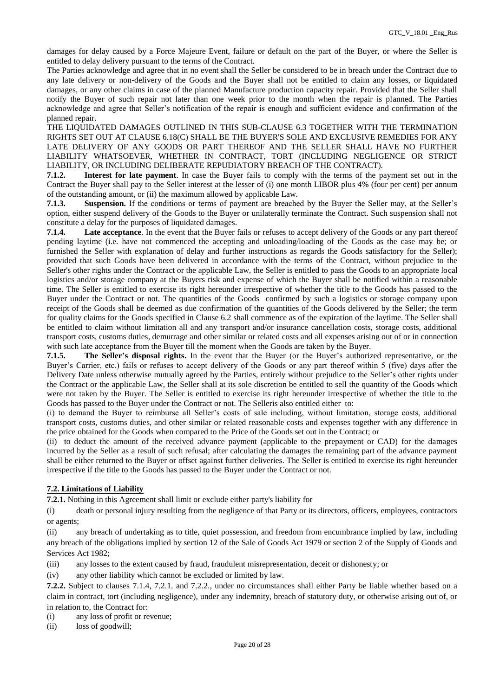damages for delay caused by a Force Majeure Event, failure or default on the part of the Buyer, or where the Seller is entitled to delay delivery pursuant to the terms of the Contract.

The Parties acknowledge and agree that in no event shall the Seller be considered to be in breach under the Contract due to any late delivery or non-delivery of the Goods and the Buyer shall not be entitled to claim any losses, or liquidated damages, or any other claims in case of the planned Manufacture production capacity repair. Provided that the Seller shall notify the Buyer of such repair not later than one week prior to the month when the repair is planned. The Parties acknowledge and agree that Seller's notification of the repair is enough and sufficient evidence and confirmation of the planned repair.

THE LIQUIDATED DAMAGES OUTLINED IN THIS SUB-CLAUSE 6.3 TOGETHER WITH THE TERMINATION RIGHTS SET OUT AT CLAUSE 6.18(C) SHALL BE THE BUYER'S SOLE AND EXCLUSIVE REMEDIES FOR ANY LATE DELIVERY OF ANY GOODS OR PART THEREOF AND THE SELLER SHALL HAVE NO FURTHER LIABILITY WHATSOEVER, WHETHER IN CONTRACT, TORT (INCLUDING NEGLIGENCE OR STRICT LIABILITY, OR INCLUDING DELIBERATE REPUDIATORY BREACH OF THE CONTRACT).

**7.1.2. Interest for late payment**. In case the Buyer fails to comply with the terms of the payment set out in the Contract the Buyer shall pay to the Seller interest at the lesser of (i) one month LIBOR plus 4% (four per cent) per annum of the outstanding amount, or (ii) the maximum allowed by applicable Law.

**7.1.3. Suspension.** If the conditions or terms of payment are breached by the Buyer the Seller may, at the Seller's option, either suspend delivery of the Goods to the Buyer or unilaterally terminate the Contract. Such suspension shall not constitute a delay for the purposes of liquidated damages.

**7.1.4. Late acceptance**. In the event that the Buyer fails or refuses to accept delivery of the Goods or any part thereof pending laytime (i.e. have not commenced the accepting and unloading/loading of the Goods as the case may be; or furnished the Seller with explanation of delay and further instructions as regards the Goods satisfactory for the Seller); provided that such Goods have been delivered in accordance with the terms of the Contract, without prejudice to the Seller's other rights under the Contract or the applicable Law, the Seller is entitled to pass the Goods to an appropriate local logistics and/or storage company at the Buyers risk and expense of which the Buyer shall be notified within a reasonable time. The Seller is entitled to exercise its right hereunder irrespective of whether the title to the Goods has passed to the Buyer under the Contract or not. The quantities of the Goods confirmed by such a logistics or storage company upon receipt of the Goods shall be deemed as due confirmation of the quantities of the Goods delivered by the Seller; the term for quality claims for the Goods specified in Clause 6.2 shall commence as of the expiration of the laytime. The Seller shall be entitled to claim without limitation all and any transport and/or insurance cancellation costs, storage costs, additional transport costs, customs duties, demurrage and other similar or related costs and all expenses arising out of or in connection with such late acceptance from the Buyer till the moment when the Goods are taken by the Buyer.

**7.1.5. The Seller's disposal rights.** In the event that the Buyer (or the Buyer's authorized representative, or the Buyer's Carrier, etc.) fails or refuses to accept delivery of the Goods or any part thereof within 5 (five) days after the Delivery Date unless otherwise mutually agreed by the Parties, entirely without prejudice to the Seller's other rights under the Contract or the applicable Law, the Seller shall at its sole discretion be entitled to sell the quantity of the Goods which were not taken by the Buyer. The Seller is entitled to exercise its right hereunder irrespective of whether the title to the Goods has passed to the Buyer under the Contract or not. The Selleris also entitled either to:

(i) to demand the Buyer to reimburse all Seller's costs of sale including, without limitation, storage costs, additional transport costs, customs duties, and other similar or related reasonable costs and expenses together with any difference in the price obtained for the Goods when compared to the Price of the Goods set out in the Contract; or

(ii) to deduct the amount of the received advance payment (applicable to the prepayment or CAD) for the damages incurred by the Seller as a result of such refusal; after calculating the damages the remaining part of the advance payment shall be either returned to the Buyer or offset against further deliveries. The Seller is entitled to exercise its right hereunder irrespective if the title to the Goods has passed to the Buyer under the Contract or not.

# **7.2. Limitations of Liability**

**7.2.1.** Nothing in this Agreement shall limit or exclude either party's liability for

(i) death or personal injury resulting from the negligence of that Party or its directors, officers, employees, contractors or agents;

(ii) any breach of undertaking as to title, quiet possession, and freedom from encumbrance implied by law, including any breach of the obligations implied by section 12 of the Sale of Goods Act 1979 or section 2 of the Supply of Goods and Services Act 1982;

(iii) any losses to the extent caused by fraud, fraudulent misrepresentation, deceit or dishonesty; or

(iv) any other liability which cannot be excluded or limited by law.

**7.2.2.** Subject to clauses 7.1.4, 7.2.1. and 7.2.2., under no circumstances shall either Party be liable whether based on a claim in contract, tort (including negligence), under any indemnity, breach of statutory duty, or otherwise arising out of, or in relation to, the Contract for:

(i) any loss of profit or revenue;

(ii) loss of goodwill;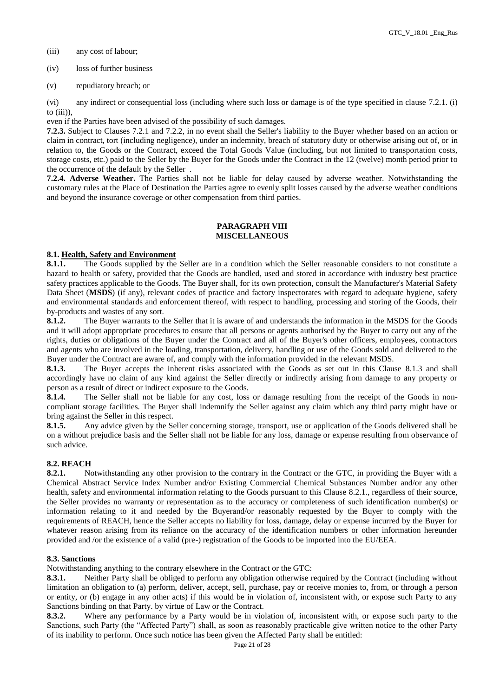- (iii) any cost of labour;
- (iv) loss of further business
- (v) repudiatory breach; or

(vi) any indirect or consequential loss (including where such loss or damage is of the type specified in clause 7.2.1. (i) to  $(iii)$ )

even if the Parties have been advised of the possibility of such damages.

**7.2.3.** Subject to Clauses 7.2.1 and 7.2.2, in no event shall the Seller's liability to the Buyer whether based on an action or claim in contract, tort (including negligence), under an indemnity, breach of statutory duty or otherwise arising out of, or in relation to, the Goods or the Contract, exceed the Total Goods Value (including, but not limited to transportation costs, storage costs, etc.) paid to the Seller by the Buyer for the Goods under the Contract in the 12 (twelve) month period prior to the occurrence of the default by the Seller .

**7.2.4. Adverse Weather.** The Parties shall not be liable for delay caused by adverse weather. Notwithstanding the customary rules at the Place of Destination the Parties agree to evenly split losses caused by the adverse weather conditions and beyond the insurance coverage or other compensation from third parties.

# **PARAGRAPH VIII MISCELLANEOUS**

# **8.1. Health, Safety and Environment**

**8.1.1.** The Goods supplied by the Seller are in a condition which the Seller reasonable considers to not constitute a hazard to health or safety, provided that the Goods are handled, used and stored in accordance with industry best practice safety practices applicable to the Goods. The Buyer shall, for its own protection, consult the Manufacturer's Material Safety Data Sheet (**MSDS**) (if any), relevant codes of practice and factory inspectorates with regard to adequate hygiene, safety and environmental standards and enforcement thereof, with respect to handling, processing and storing of the Goods, their by-products and wastes of any sort.

**8.1.2.** The Buyer warrants to the Seller that it is aware of and understands the information in the MSDS for the Goods and it will adopt appropriate procedures to ensure that all persons or agents authorised by the Buyer to carry out any of the rights, duties or obligations of the Buyer under the Contract and all of the Buyer's other officers, employees, contractors and agents who are involved in the loading, transportation, delivery, handling or use of the Goods sold and delivered to the Buyer under the Contract are aware of, and comply with the information provided in the relevant MSDS.

**8.1.3.** The Buyer accepts the inherent risks associated with the Goods as set out in this Clause 8.1.3 and shall accordingly have no claim of any kind against the Seller directly or indirectly arising from damage to any property or person as a result of direct or indirect exposure to the Goods.

**8.1.4.** The Seller shall not be liable for any cost, loss or damage resulting from the receipt of the Goods in noncompliant storage facilities. The Buyer shall indemnify the Seller against any claim which any third party might have or bring against the Seller in this respect.

**8.1.5.** Any advice given by the Seller concerning storage, transport, use or application of the Goods delivered shall be on a without prejudice basis and the Seller shall not be liable for any loss, damage or expense resulting from observance of such advice.

# **8.2. REACH**

**8.2.1.** Notwithstanding any other provision to the contrary in the Contract or the GTC, in providing the Buyer with a Chemical Abstract Service Index Number and/or Existing Commercial Chemical Substances Number and/or any other health, safety and environmental information relating to the Goods pursuant to this Clause 8.2.1., regardless of their source, the Seller provides no warranty or representation as to the accuracy or completeness of such identification number(s) or information relating to it and needed by the Buyerand/or reasonably requested by the Buyer to comply with the requirements of REACH, hence the Seller accepts no liability for loss, damage, delay or expense incurred by the Buyer for whatever reason arising from its reliance on the accuracy of the identification numbers or other information hereunder provided and /or the existence of a valid (pre-) registration of the Goods to be imported into the EU/EEA.

# **8.3. Sanctions**

Notwithstanding anything to the contrary elsewhere in the Contract or the GTC:

**8.3.1.** Neither Party shall be obliged to perform any obligation otherwise required by the Contract (including without limitation an obligation to (a) perform, deliver, accept, sell, purchase, pay or receive monies to, from, or through a person or entity, or (b) engage in any other acts) if this would be in violation of, inconsistent with, or expose such Party to any Sanctions binding on that Party. by virtue of Law or the Contract.

**8.3.2.** Where any performance by a Party would be in violation of, inconsistent with, or expose such party to the Sanctions, such Party (the "Affected Party") shall, as soon as reasonably practicable give written notice to the other Party of its inability to perform. Once such notice has been given the Affected Party shall be entitled: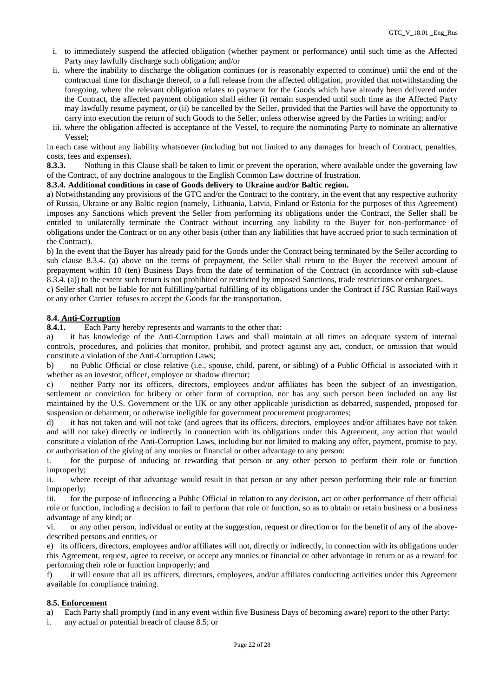- i. to immediately suspend the affected obligation (whether payment or performance) until such time as the Affected Party may lawfully discharge such obligation; and/or
- ii. where the inability to discharge the obligation continues (or is reasonably expected to continue) until the end of the contractual time for discharge thereof, to a full release from the affected obligation, provided that notwithstanding the foregoing, where the relevant obligation relates to payment for the Goods which have already been delivered under the Contract, the affected payment obligation shall either (i) remain suspended until such time as the Affected Party may lawfully resume payment, or (ii) be cancelled by the Seller, provided that the Parties will have the opportunity to carry into execution the return of such Goods to the Seller, unless otherwise agreed by the Parties in writing; and/or
- iii. where the obligation affected is acceptance of the Vessel, to require the nominating Party to nominate an alternative Vessel;

in each case without any liability whatsoever (including but not limited to any damages for breach of Contract, penalties, costs, fees and expenses).

**8.3.3.** Nothing in this Clause shall be taken to limit or prevent the operation, where available under the governing law of the Contract, of any doctrine analogous to the English Common Law doctrine of frustration.

### **8.3.4. Additional conditions in case of Goods delivery to Ukraine and/or Baltic region.**

a) Notwithstanding any provisions of the GTC and/or the Contract to the contrary, in the event that any respective authority of Russia, Ukraine or any Baltic region (namely, Lithuania, Latvia, Finland or Estonia for the purposes of this Agreement) imposes any Sanctions which prevent the Seller from performing its obligations under the Contract, the Seller shall be entitled to unilaterally terminate the Contract without incurring any liability to the Buyer for non-performance of obligations under the Contract or on any other basis (other than any liabilities that have accrued prior to such termination of the Contract).

b) In the event that the Buyer has already paid for the Goods under the Contract being terminated by the Seller according to sub clause 8.3.4. (a) above on the terms of prepayment, the Seller shall return to the Buyer the received amount of prepayment within 10 (ten) Business Days from the date of termination of the Contract (in accordance with sub-clause 8.3.4. (a)) to the extent such return is not prohibited or restricted by imposed Sanctions, trade restrictions or embargoes.

c) Seller shall not be liable for not fulfilling/partial fulfilling of its obligations under the Contract if JSC Russian Railways or any other Carrier refuses to accept the Goods for the transportation.

# **8.4. Anti-Corruption**

**8.4.1.** Each Party hereby represents and warrants to the other that:

a) it has knowledge of the Anti-Corruption Laws and shall maintain at all times an adequate system of internal controls, procedures, and policies that monitor, prohibit, and protect against any act, conduct, or omission that would constitute a violation of the Anti-Corruption Laws;

b) no Public Official or close relative (i.e., spouse, child, parent, or sibling) of a Public Official is associated with it whether as an investor, officer, employee or shadow director;

c) neither Party nor its officers, directors, employees and/or affiliates has been the subject of an investigation, settlement or conviction for bribery or other form of corruption, nor has any such person been included on any list maintained by the U.S. Government or the UK or any other applicable jurisdiction as debarred, suspended, proposed for suspension or debarment, or otherwise ineligible for government procurement programmes;

d) it has not taken and will not take (and agrees that its officers, directors, employees and/or affiliates have not taken and will not take) directly or indirectly in connection with its obligations under this Agreement, any action that would constitute a violation of the Anti-Corruption Laws, including but not limited to making any offer, payment, promise to pay, or authorisation of the giving of any monies or financial or other advantage to any person:

i. for the purpose of inducing or rewarding that person or any other person to perform their role or function improperly;

ii. where receipt of that advantage would result in that person or any other person performing their role or function improperly;

iii. for the purpose of influencing a Public Official in relation to any decision, act or other performance of their official role or function, including a decision to fail to perform that role or function, so as to obtain or retain business or a business advantage of any kind; or

vi. or any other person, individual or entity at the suggestion, request or direction or for the benefit of any of the abovedescribed persons and entities, or

e) its officers, directors, employees and/or affiliates will not, directly or indirectly, in connection with its obligations under this Agreement, request, agree to receive, or accept any monies or financial or other advantage in return or as a reward for performing their role or function improperly; and

f) it will ensure that all its officers, directors, employees, and/or affiliates conducting activities under this Agreement available for compliance training.

## **8.5. Enforcement**

a) Each Party shall promptly (and in any event within five Business Days of becoming aware) report to the other Party:

i. any actual or potential breach of clause 8.5; or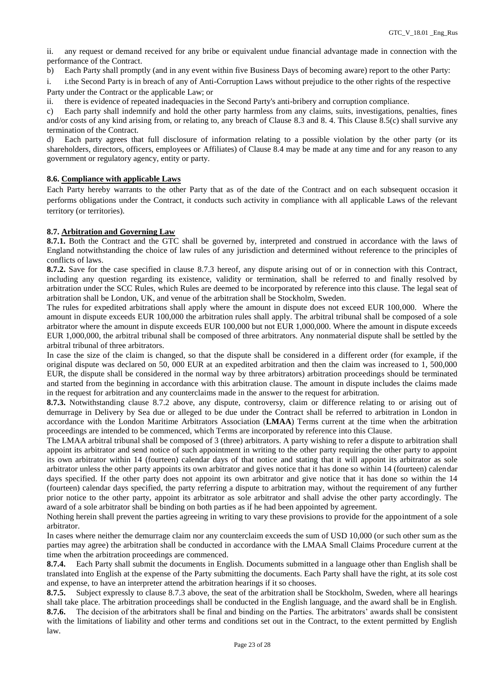ii. any request or demand received for any bribe or equivalent undue financial advantage made in connection with the performance of the Contract.

b) Each Party shall promptly (and in any event within five Business Days of becoming aware) report to the other Party:

i. i.the Second Party is in breach of any of Anti-Corruption Laws without prejudice to the other rights of the respective Party under the Contract or the applicable Law; or

ii. there is evidence of repeated inadequacies in the Second Party's anti-bribery and corruption compliance.

c) Each party shall indemnify and hold the other party harmless from any claims, suits, investigations, penalties, fines and/or costs of any kind arising from, or relating to, any breach of Clause 8.3 and 8. 4. This Clause 8.5(c) shall survive any termination of the Contract.

d) Each party agrees that full disclosure of information relating to a possible violation by the other party (or its shareholders, directors, officers, employees or Affiliates) of Clause 8.4 may be made at any time and for any reason to any government or regulatory agency, entity or party.

# **8.6. Compliance with applicable Laws**

Each Party hereby warrants to the other Party that as of the date of the Contract and on each subsequent occasion it performs obligations under the Contract, it conducts such activity in compliance with all applicable Laws of the relevant territory (or territories).

## **8.7. Arbitration and Governing Law**

**8.7.1.** Both the Contract and the GTC shall be governed by, interpreted and construed in accordance with the laws of England notwithstanding the choice of law rules of any jurisdiction and determined without reference to the principles of conflicts of laws.

**8.7.2.** Save for the case specified in clause 8.7.3 hereof, any dispute arising out of or in connection with this Contract, including any question regarding its existence, validity or termination, shall be referred to and finally resolved by arbitration under the SCC Rules, which Rules are deemed to be incorporated by reference into this clause. The legal seat of arbitration shall be London, UK, and venue of the arbitration shall be Stockholm, Sweden.

The rules for expedited arbitrations shall apply where the amount in dispute does not exceed EUR 100,000. Where the amount in dispute exceeds EUR 100,000 the arbitration rules shall apply. The arbitral tribunal shall be composed of a sole arbitrator where the amount in dispute exceeds EUR 100,000 but not EUR 1,000,000. Where the amount in dispute exceeds EUR 1,000,000, the arbitral tribunal shall be composed of three arbitrators. Any nonmaterial dispute shall be settled by the arbitral tribunal of three arbitrators.

In case the size of the claim is changed, so that the dispute shall be considered in a different order (for example, if the original dispute was declared on 50, 000 EUR at an expedited arbitration and then the claim was increased to 1, 500,000 EUR, the dispute shall be considered in the normal way by three arbitrators) arbitration proceedings should be terminated and started from the beginning in accordance with this arbitration clause. The amount in dispute includes the claims made in the request for arbitration and any counterclaims made in the answer to the request for arbitration.

**8.7.3.** Notwithstanding clause 8.7.2 above, any dispute, controversy, claim or difference relating to or arising out of demurrage in Delivery by Sea due or alleged to be due under the Contract shall be referred to arbitration in London in accordance with the London Maritime Arbitrators Association (**LMAA**) Terms current at the time when the arbitration proceedings are intended to be commenced, which Terms are incorporated by reference into this Clause.

The LMAA arbitral tribunal shall be composed of 3 (three) arbitrators. A party wishing to refer a dispute to arbitration shall appoint its arbitrator and send notice of such appointment in writing to the other party requiring the other party to appoint its own arbitrator within 14 (fourteen) calendar days of that notice and stating that it will appoint its arbitrator as sole arbitrator unless the other party appoints its own arbitrator and gives notice that it has done so within 14 (fourteen) calendar days specified. If the other party does not appoint its own arbitrator and give notice that it has done so within the 14 (fourteen) calendar days specified, the party referring a dispute to arbitration may, without the requirement of any further prior notice to the other party, appoint its arbitrator as sole arbitrator and shall advise the other party accordingly. The award of a sole arbitrator shall be binding on both parties as if he had been appointed by agreement.

Nothing herein shall prevent the parties agreeing in writing to vary these provisions to provide for the appointment of a sole arbitrator.

In cases where neither the demurrage claim nor any counterclaim exceeds the sum of USD 10,000 (or such other sum as the parties may agree) the arbitration shall be conducted in accordance with the LMAA Small Claims Procedure current at the time when the arbitration proceedings are commenced.

**8.7.4.** Each Party shall submit the documents in English. Documents submitted in a language other than English shall be translated into English at the expense of the Party submitting the documents. Each Party shall have the right, at its sole cost and expense, to have an interpreter attend the arbitration hearings if it so chooses.

**8.7.5.** Subject expressly to clause 8.7.3 above, the seat of the arbitration shall be Stockholm, Sweden, where all hearings shall take place. The arbitration proceedings shall be conducted in the English language, and the award shall be in English. **8.7.6.** The decision of the arbitrators shall be final and binding on the Parties. The arbitrators' awards shall be consistent with the limitations of liability and other terms and conditions set out in the Contract, to the extent permitted by English law.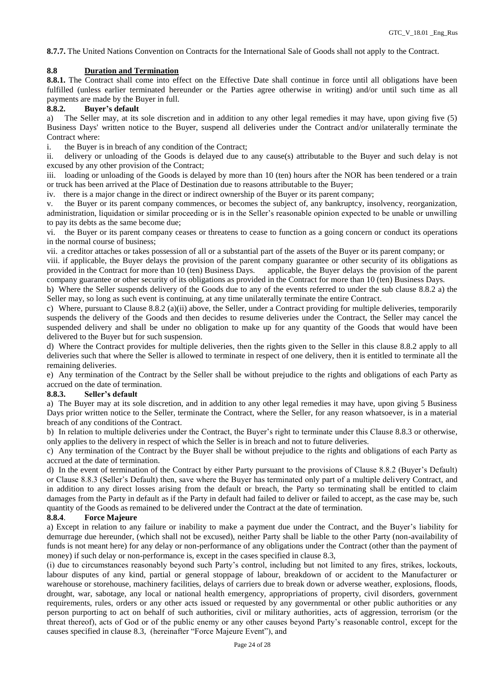**8.7.7.** The United Nations Convention on Contracts for the International Sale of Goods shall not apply to the Contract.

# **8.8 Duration and Termination**

**8.8.1.** The Contract shall come into effect on the Effective Date shall continue in force until all obligations have been fulfilled (unless earlier terminated hereunder or the Parties agree otherwise in writing) and/or until such time as all payments are made by the Buyer in full.

## **8.8.2. Buyer's default**

a) The Seller may, at its sole discretion and in addition to any other legal remedies it may have, upon giving five (5) Business Days' written notice to the Buyer, suspend all deliveries under the Contract and/or unilaterally terminate the Contract where:

i. the Buyer is in breach of any condition of the Contract;

ii. delivery or unloading of the Goods is delayed due to any cause(s) attributable to the Buyer and such delay is not excused by any other provision of the Contract;

iii. loading or unloading of the Goods is delayed by more than 10 (ten) hours after the NOR has been tendered or a train or truck has been arrived at the Place of Destination due to reasons attributable to the Buyer;

iv. there is a major change in the direct or indirect ownership of the Buyer or its parent company;

v. the Buyer or its parent company commences, or becomes the subject of, any bankruptcy, insolvency, reorganization, administration, liquidation or similar proceeding or is in the Seller's reasonable opinion expected to be unable or unwilling to pay its debts as the same become due;

vi. the Buyer or its parent company ceases or threatens to cease to function as a going concern or conduct its operations in the normal course of business;

vii. a creditor attaches or takes possession of all or a substantial part of the assets of the Buyer or its parent company; or

viii. if applicable, the Buyer delays the provision of the parent company guarantee or other security of its obligations as provided in the Contract for more than 10 (ten) Business Days. applicable, the Buyer delays the provision of the parent company guarantee or other security of its obligations as provided in the Contract for more than 10 (ten) Business Days.

b) Where the Seller suspends delivery of the Goods due to any of the events referred to under the sub clause 8.8.2 a) the Seller may, so long as such event is continuing, at any time unilaterally terminate the entire Contract.

c) Where, pursuant to Clause  $8.8.2$  (a)(ii) above, the Seller, under a Contract providing for multiple deliveries, temporarily suspends the delivery of the Goods and then decides to resume deliveries under the Contract, the Seller may cancel the suspended delivery and shall be under no obligation to make up for any quantity of the Goods that would have been delivered to the Buyer but for such suspension.

d) Where the Contract provides for multiple deliveries, then the rights given to the Seller in this clause 8.8.2 apply to all deliveries such that where the Seller is allowed to terminate in respect of one delivery, then it is entitled to terminate all the remaining deliveries.

e) Any termination of the Contract by the Seller shall be without prejudice to the rights and obligations of each Party as accrued on the date of termination.

### **8.8.3. Seller's default**

a) The Buyer may at its sole discretion, and in addition to any other legal remedies it may have, upon giving 5 Business Days prior written notice to the Seller, terminate the Contract, where the Seller, for any reason whatsoever, is in a material breach of any conditions of the Contract.

b) In relation to multiple deliveries under the Contract, the Buyer's right to terminate under this Clause 8.8.3 or otherwise, only applies to the delivery in respect of which the Seller is in breach and not to future deliveries.

c) Any termination of the Contract by the Buyer shall be without prejudice to the rights and obligations of each Party as accrued at the date of termination.

d) In the event of termination of the Contract by either Party pursuant to the provisions of Clause 8.8.2 (Buyer's Default) or Clause 8.8.3 (Seller's Default) then, save where the Buyer has terminated only part of a multiple delivery Contract, and in addition to any direct losses arising from the default or breach, the Party so terminating shall be entitled to claim damages from the Party in default as if the Party in default had failed to deliver or failed to accept, as the case may be, such quantity of the Goods as remained to be delivered under the Contract at the date of termination.

### **8.8.4**. **Force Majeure**

a) Except in relation to any failure or inability to make a payment due under the Contract, and the Buyer's liability for demurrage due hereunder, (which shall not be excused), neither Party shall be liable to the other Party (non-availability of funds is not meant here) for any delay or non-performance of any obligations under the Contract (other than the payment of money) if such delay or non-performance is, except in the cases specified in clause 8.3,

(i) due to circumstances reasonably beyond such Party's control, including but not limited to any fires, strikes, lockouts, labour disputes of any kind, partial or general stoppage of labour, breakdown of or accident to the Manufacturer or warehouse or storehouse, machinery facilities, delays of carriers due to break down or adverse weather, explosions, floods, drought, war, sabotage, any local or national health emergency, appropriations of property, civil disorders, government requirements, rules, orders or any other acts issued or requested by any governmental or other public authorities or any person purporting to act on behalf of such authorities, civil or military authorities, acts of aggression, terrorism (or the threat thereof), acts of God or of the public enemy or any other causes beyond Party's reasonable control, except for the causes specified in clause 8.3, (hereinafter "Force Majeure Event"), and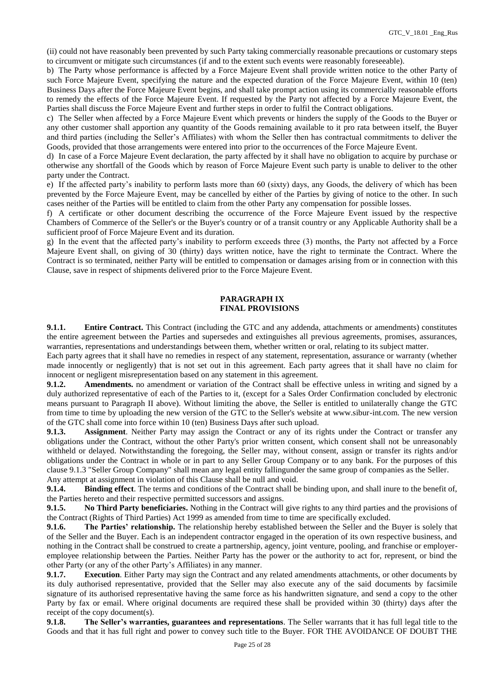(ii) could not have reasonably been prevented by such Party taking commercially reasonable precautions or customary steps to circumvent or mitigate such circumstances (if and to the extent such events were reasonably foreseeable).

b) The Party whose performance is affected by a Force Majeure Event shall provide written notice to the other Party of such Force Majeure Event, specifying the nature and the expected duration of the Force Majeure Event, within 10 (ten) Business Days after the Force Majeure Event begins, and shall take prompt action using its commercially reasonable efforts to remedy the effects of the Force Majeure Event. If requested by the Party not affected by a Force Majeure Event, the Parties shall discuss the Force Majeure Event and further steps in order to fulfil the Contract obligations.

c) The Seller when affected by a Force Majeure Event which prevents or hinders the supply of the Goods to the Buyer or any other customer shall apportion any quantity of the Goods remaining available to it pro rata between itself, the Buyer and third parties (including the Seller's Affiliates) with whom the Seller then has contractual commitments to deliver the Goods, provided that those arrangements were entered into prior to the occurrences of the Force Majeure Event.

d) In case of a Force Majeure Event declaration, the party affected by it shall have no obligation to acquire by purchase or otherwise any shortfall of the Goods which by reason of Force Majeure Event such party is unable to deliver to the other party under the Contract.

e) If the affected party's inability to perform lasts more than 60 (sixty) days, any Goods, the delivery of which has been prevented by the Force Majeure Event, may be cancelled by either of the Parties by giving of notice to the other. In such cases neither of the Parties will be entitled to claim from the other Party any compensation for possible losses.

f) A certificate or other document describing the occurrence of the Force Majeure Event issued by the respective Chambers of Commerce of the Seller's or the Buyer's country or of a transit country or any Applicable Authority shall be a sufficient proof of Force Majeure Event and its duration.

g) In the event that the affected party's inability to perform exceeds three (3) months, the Party not affected by a Force Majeure Event shall, on giving of 30 (thirty) days written notice, have the right to terminate the Contract. Where the Contract is so terminated, neither Party will be entitled to compensation or damages arising from or in connection with this Clause, save in respect of shipments delivered prior to the Force Majeure Event.

### **PARAGRAPH IX FINAL PROVISIONS**

**9.1.1. Entire Contract.** This Contract (including the GTC and any addenda, attachments or amendments) constitutes the entire agreement between the Parties and supersedes and extinguishes all previous agreements, promises, assurances, warranties, representations and understandings between them, whether written or oral, relating to its subject matter.

Each party agrees that it shall have no remedies in respect of any statement, representation, assurance or warranty (whether made innocently or negligently) that is not set out in this agreement. Each party agrees that it shall have no claim for innocent or negligent misrepresentation based on any statement in this agreement.

**9.1.2. Amendments.** no amendment or variation of the Contract shall be effective unless in writing and signed by a duly authorized representative of each of the Parties to it, (except for a Sales Order Confirmation concluded by electronic means pursuant to Paragraph II above). Without limiting the above, the Seller is entitled to unilaterally change the GTC from time to time by uploading the new version of the GTC to the Seller's website at www.sibur-int.com. The new version of the GTC shall come into force within 10 (ten) Business Days after such upload.

**9.1.3. Assignment**. Neither Party may assign the Contract or any of its rights under the Contract or transfer any obligations under the Contract, without the other Party's prior written consent, which consent shall not be unreasonably withheld or delayed. Notwithstanding the foregoing, the Seller may, without consent, assign or transfer its rights and/or obligations under the Contract in whole or in part to any Seller Group Company or to any bank. For the purposes of this clause 9.1.3 "Seller Group Company" shall mean any legal entity fallingunder the same group of companies as the Seller. Any attempt at assignment in violation of this Clause shall be null and void.

**9.1.4. Binding effect**. The terms and conditions of the Contract shall be binding upon, and shall inure to the benefit of, the Parties hereto and their respective permitted successors and assigns.

**9.1.5. No Third Party beneficiaries.** Nothing in the Contract will give rights to any third parties and the provisions of the Contract (Rights of Third Parties) Act 1999 as amended from time to time are specifically excluded.

**9.1.6. The Parties' relationship.** The relationship hereby established between the Seller and the Buyer is solely that of the Seller and the Buyer. Each is an independent contractor engaged in the operation of its own respective business, and nothing in the Contract shall be construed to create a partnership, agency, joint venture, pooling, and franchise or employeremployee relationship between the Parties. Neither Party has the power or the authority to act for, represent, or bind the other Party (or any of the other Party's Affiliates) in any manner.

**9.1.7. Execution**. Either Party may sign the Contract and any related amendments attachments, or other documents by its duly authorised representative, provided that the Seller may also execute any of the said documents by facsimile signature of its authorised representative having the same force as his handwritten signature, and send a copy to the other Party by fax or email. Where original documents are required these shall be provided within 30 (thirty) days after the receipt of the copy document(s).

**9.1.8. The Seller's warranties, guarantees and representations**. The Seller warrants that it has full legal title to the Goods and that it has full right and power to convey such title to the Buyer. FOR THE AVOIDANCE OF DOUBT THE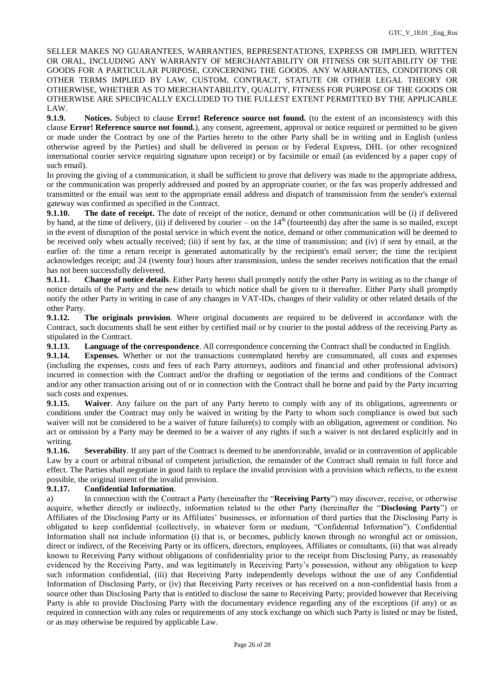SELLER MAKES NO GUARANTEES, WARRANTIES, REPRESENTATIONS, EXPRESS OR IMPLIED, WRITTEN OR ORAL, INCLUDING ANY WARRANTY OF MERCHANTABILITY OR FITNESS OR SUITABILITY OF THE GOODS FOR A PARTICULAR PURPOSE, CONCERNING THE GOODS. ANY WARRANTIES, CONDITIONS OR OTHER TERMS IMPLIED BY LAW, CUSTOM, CONTRACT, STATUTE OR OTHER LEGAL THEORY OR OTHERWISE, WHETHER AS TO MERCHANTABILITY, QUALITY, FITNESS FOR PURPOSE OF THE GOODS OR OTHERWISE ARE SPECIFICALLY EXCLUDED TO THE FULLEST EXTENT PERMITTED BY THE APPLICABLE LAW.

**9.1.9. Notices.** Subject to clause **Error! Reference source not found.** (to the extent of an inconsistency with this clause **Error! Reference source not found.**), any consent, agreement, approval or notice required or permitted to be given or made under the Contract by one of the Parties hereto to the other Party shall be in writing and in English (unless otherwise agreed by the Parties) and shall be delivered in person or by Federal Express, DHL (or other recognized international courier service requiring signature upon receipt) or by facsimile or email (as evidenced by a paper copy of such email).

In proving the giving of a communication, it shall be sufficient to prove that delivery was made to the appropriate address, or the communication was properly addressed and posted by an appropriate courier, or the fax was properly addressed and transmitted or the email was sent to the appropriate email address and dispatch of transmission from the sender's external gateway was confirmed as specified in the Contract.

**9.1.10. The date of receipt.** The date of receipt of the notice, demand or other communication will be (i) if delivered by hand, at the time of delivery, (ii) if delivered by courier – on the  $14<sup>th</sup>$  (fourteenth) day after the same is so mailed, except in the event of disruption of the postal service in which event the notice, demand or other communication will be deemed to be received only when actually received; (iii) if sent by fax, at the time of transmission; and (iv) if sent by email, at the earlier of: the time a return receipt is generated automatically by the recipient's email server; the time the recipient acknowledges receipt; and 24 (twenty four) hours after transmission, unless the sender receives notification that the email has not been successfully delivered.

**9.1.11. Change of notice details**. Either Party hereto shall promptly notify the other Party in writing as to the change of notice details of the Party and the new details to which notice shall be given to it thereafter. Either Party shall promptly notify the other Party in writing in case of any changes in VAT-IDs, changes of their validity or other related details of the other Party.

**9.1.12. The originals provision**. Where original documents are required to be delivered in accordance with the Contract, such documents shall be sent either by certified mail or by courier to the postal address of the receiving Party as stipulated in the Contract.

**9.1.13. Language of the correspondence**. All correspondence concerning the Contract shall be conducted in English.

**9.1.14. Expenses.** Whether or not the transactions contemplated hereby are consummated, all costs and expenses (including the expenses, costs and fees of each Party attorneys, auditors and financial and other professional advisors) incurred in connection with the Contract and/or the drafting or negotiation of the terms and conditions of the Contract and/or any other transaction arising out of or in connection with the Contract shall be borne and paid by the Party incurring such costs and expenses.

**9.1.15. Waiver**. Any failure on the part of any Party hereto to comply with any of its obligations, agreements or conditions under the Contract may only be waived in writing by the Party to whom such compliance is owed but such waiver will not be considered to be a waiver of future failure(s) to comply with an obligation, agreement or condition. No act or omission by a Party may be deemed to be a waiver of any rights if such a waiver is not declared explicitly and in writing.

**9.1.16.** Severability. If any part of the Contract is deemed to be unenforceable, invalid or in contravention of applicable Law by a court or arbitral tribunal of competent jurisdiction, the remainder of the Contract shall remain in full force and effect. The Parties shall negotiate in good faith to replace the invalid provision with a provision which reflects, to the extent possible, the original intent of the invalid provision.

# **9.1.17. Confidential Information**.

a) In connection with the Contract a Party (hereinafter the "**Receiving Party**") may discover, receive, or otherwise acquire, whether directly or indirectly, information related to the other Party (hereinafter the "**Disclosing Party**") or Affiliates of the Disclosing Party or its Affiliates' businesses, or information of third parties that the Disclosing Party is obligated to keep confidential (collectively, in whatever form or medium, "Confidential Information"). Confidential Information shall not include information (i) that is, or becomes, publicly known through no wrongful act or omission, direct or indirect, of the Receiving Party or its officers, directors, employees, Affiliates or consultants, (ii) that was already known to Receiving Party without obligations of confidentiality prior to the receipt from Disclosing Party, as reasonably evidenced by the Receiving Party, and was legitimately in Receiving Party's possession, without any obligation to keep such information confidential, (iii) that Receiving Party independently develops without the use of any Confidential Information of Disclosing Party, or (iv) that Receiving Party receives or has received on a non-confidential basis from a source other than Disclosing Party that is entitled to disclose the same to Receiving Party; provided however that Receiving Party is able to provide Disclosing Party with the documentary evidence regarding any of the exceptions (if any) or as required in connection with any rules or requirements of any stock exchange on which such Party is listed or may be listed, or as may otherwise be required by applicable Law.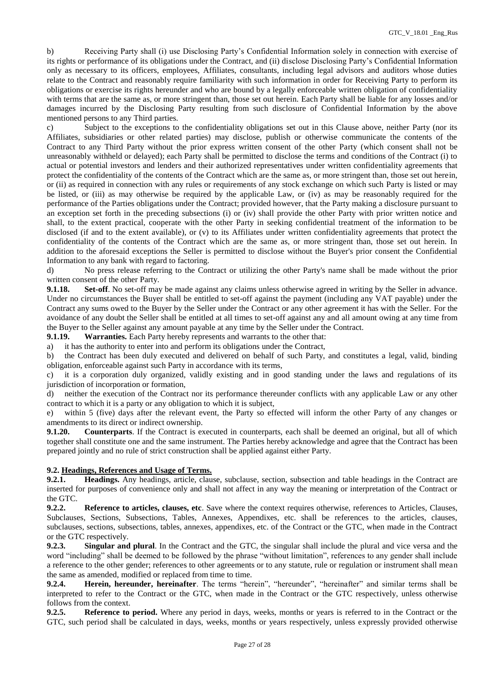b) Receiving Party shall (i) use Disclosing Party's Confidential Information solely in connection with exercise of its rights or performance of its obligations under the Contract, and (ii) disclose Disclosing Party's Confidential Information only as necessary to its officers, employees, Affiliates, consultants, including legal advisors and auditors whose duties relate to the Contract and reasonably require familiarity with such information in order for Receiving Party to perform its obligations or exercise its rights hereunder and who are bound by a legally enforceable written obligation of confidentiality with terms that are the same as, or more stringent than, those set out herein. Each Party shall be liable for any losses and/or damages incurred by the Disclosing Party resulting from such disclosure of Confidential Information by the above mentioned persons to any Third parties.

c) Subject to the exceptions to the confidentiality obligations set out in this Clause above, neither Party (nor its Affiliates, subsidiaries or other related parties) may disclose, publish or otherwise communicate the contents of the Contract to any Third Party without the prior express written consent of the other Party (which consent shall not be unreasonably withheld or delayed); each Party shall be permitted to disclose the terms and conditions of the Contract (i) to actual or potential investors and lenders and their authorized representatives under written confidentiality agreements that protect the confidentiality of the contents of the Contract which are the same as, or more stringent than, those set out herein, or (ii) as required in connection with any rules or requirements of any stock exchange on which such Party is listed or may be listed, or (iii) as may otherwise be required by the applicable Law, or (iv) as may be reasonably required for the performance of the Parties obligations under the Contract; provided however, that the Party making a disclosure pursuant to an exception set forth in the preceding subsections (i) or (iv) shall provide the other Party with prior written notice and shall, to the extent practical, cooperate with the other Party in seeking confidential treatment of the information to be disclosed (if and to the extent available), or (v) to its Affiliates under written confidentiality agreements that protect the confidentiality of the contents of the Contract which are the same as, or more stringent than, those set out herein. In addition to the aforesaid exceptions the Seller is permitted to disclose without the Buyer's prior consent the Confidential Information to any bank with regard to factoring.

d) No press release referring to the Contract or utilizing the other Party's name shall be made without the prior written consent of the other Party.

**9.1.18. Set-off**. No set-off may be made against any claims unless otherwise agreed in writing by the Seller in advance. Under no circumstances the Buyer shall be entitled to set-off against the payment (including any VAT payable) under the Contract any sums owed to the Buyer by the Seller under the Contract or any other agreement it has with the Seller. For the avoidance of any doubt the Seller shall be entitled at all times to set-off against any and all amount owing at any time from the Buyer to the Seller against any amount payable at any time by the Seller under the Contract.

**9.1.19. Warranties.** Each Party hereby represents and warrants to the other that:

a) it has the authority to enter into and perform its obligations under the Contract,

b) the Contract has been duly executed and delivered on behalf of such Party, and constitutes a legal, valid, binding obligation, enforceable against such Party in accordance with its terms,

c) it is a corporation duly organized, validly existing and in good standing under the laws and regulations of its jurisdiction of incorporation or formation,

d) neither the execution of the Contract nor its performance thereunder conflicts with any applicable Law or any other contract to which it is a party or any obligation to which it is subject,

e) within 5 (five) days after the relevant event, the Party so effected will inform the other Party of any changes or amendments to its direct or indirect ownership.

**9.1.20. Counterparts**. If the Contract is executed in counterparts, each shall be deemed an original, but all of which together shall constitute one and the same instrument. The Parties hereby acknowledge and agree that the Contract has been prepared jointly and no rule of strict construction shall be applied against either Party.

### **9.2. Headings, References and Usage of Terms.**

**9.2.1. Headings.** Any headings, article, clause, subclause, section, subsection and table headings in the Contract are inserted for purposes of convenience only and shall not affect in any way the meaning or interpretation of the Contract or the GTC.

**9.2.2. Reference to articles, clauses, etc**. Save where the context requires otherwise, references to Articles, Clauses, Subclauses, Sections, Subsections, Tables, Annexes, Appendixes, etc. shall be references to the articles, clauses, subclauses, sections, subsections, tables, annexes, appendixes, etc. of the Contract or the GTC, when made in the Contract or the GTC respectively.

**9.2.3. Singular and plural**. In the Contract and the GTC, the singular shall include the plural and vice versa and the word "including" shall be deemed to be followed by the phrase "without limitation", references to any gender shall include a reference to the other gender; references to other agreements or to any statute, rule or regulation or instrument shall mean the same as amended, modified or replaced from time to time.

**9.2.4. Herein, hereunder, hereinafter**. The terms "herein", "hereunder", "hereinafter" and similar terms shall be interpreted to refer to the Contract or the GTC, when made in the Contract or the GTC respectively, unless otherwise follows from the context.

**9.2.5. Reference to period.** Where any period in days, weeks, months or years is referred to in the Contract or the GTC, such period shall be calculated in days, weeks, months or years respectively, unless expressly provided otherwise